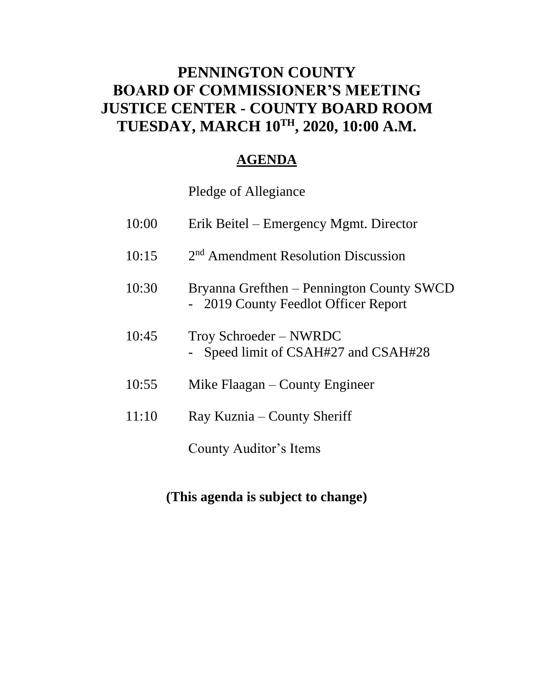### **PENNINGTON COUNTY BOARD OF COMMISSIONER'S MEETING JUSTICE CENTER - COUNTY BOARD ROOM TUESDAY, MARCH 10TH , 2020, 10:00 A.M.**

### **AGENDA**

Pledge of Allegiance

| 10:00 | Erik Beitel – Emergency Mgmt. Director                                            |
|-------|-----------------------------------------------------------------------------------|
| 10:15 | 2 <sup>nd</sup> Amendment Resolution Discussion                                   |
| 10:30 | Bryanna Grefthen – Pennington County SWCD<br>- 2019 County Feedlot Officer Report |
| 10:45 | Troy Schroeder – NWRDC<br>Speed limit of CSAH#27 and CSAH#28                      |
| 10:55 | Mike Flaagan $-$ County Engineer                                                  |
| 11:10 | Ray Kuznia – County Sheriff                                                       |
|       | County Auditor's Items                                                            |

### **(This agenda is subject to change)**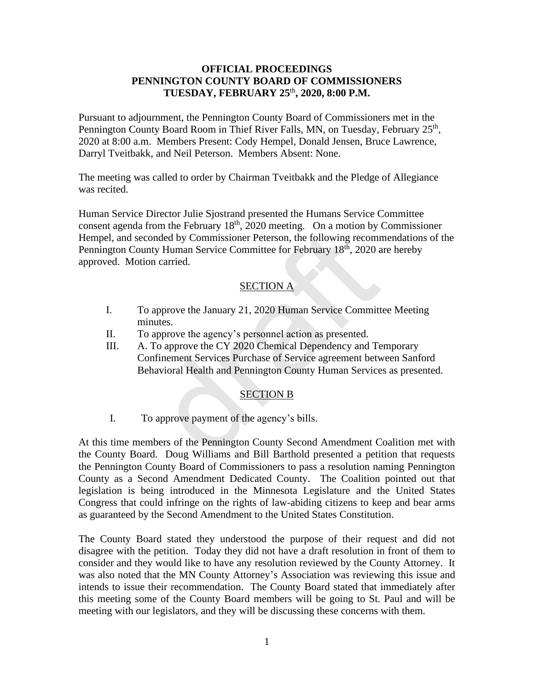#### **OFFICIAL PROCEEDINGS PENNINGTON COUNTY BOARD OF COMMISSIONERS TUESDAY, FEBRUARY 25** th **, 2020, 8:00 P.M.**

Pursuant to adjournment, the Pennington County Board of Commissioners met in the Pennington County Board Room in Thief River Falls, MN, on Tuesday, February 25<sup>th</sup>, 2020 at 8:00 a.m. Members Present: Cody Hempel, Donald Jensen, Bruce Lawrence, Darryl Tveitbakk, and Neil Peterson. Members Absent: None.

The meeting was called to order by Chairman Tveitbakk and the Pledge of Allegiance was recited.

Human Service Director Julie Sjostrand presented the Humans Service Committee consent agenda from the February  $18<sup>th</sup>$ , 2020 meeting. On a motion by Commissioner Hempel, and seconded by Commissioner Peterson, the following recommendations of the Pennington County Human Service Committee for February 18<sup>th</sup>, 2020 are hereby approved. Motion carried. orded by Commissioner Peterson, the following recomment<br>ty Human Service Committee for February 18<sup>th</sup>, 2020 a<br>n carried.<br>**SECTION A**<br>approve the January 21, 2020 Human Service Committ<br>uutes.<br>approve the agency's personnel

#### SECTION A

- I. To approve the January 21, 2020 Human Service Committee Meeting minutes.
- II. To approve the agency's personnel action as presented.
- III. A. To approve the CY 2020 Chemical Dependency and Temporary Confinement Services Purchase of Service agreement between Sanford Behavioral Health and Pennington County Human Services as presented.

#### SECTION B

I. To approve payment of the agency's bills.

At this time members of the Pennington County Second Amendment Coalition met with the County Board. Doug Williams and Bill Barthold presented a petition that requests the Pennington County Board of Commissioners to pass a resolution naming Pennington County as a Second Amendment Dedicated County. The Coalition pointed out that legislation is being introduced in the Minnesota Legislature and the United States Congress that could infringe on the rights of law-abiding citizens to keep and bear arms as guaranteed by the Second Amendment to the United States Constitution.

The County Board stated they understood the purpose of their request and did not disagree with the petition. Today they did not have a draft resolution in front of them to consider and they would like to have any resolution reviewed by the County Attorney. It was also noted that the MN County Attorney's Association was reviewing this issue and intends to issue their recommendation. The County Board stated that immediately after this meeting some of the County Board members will be going to St. Paul and will be meeting with our legislators, and they will be discussing these concerns with them.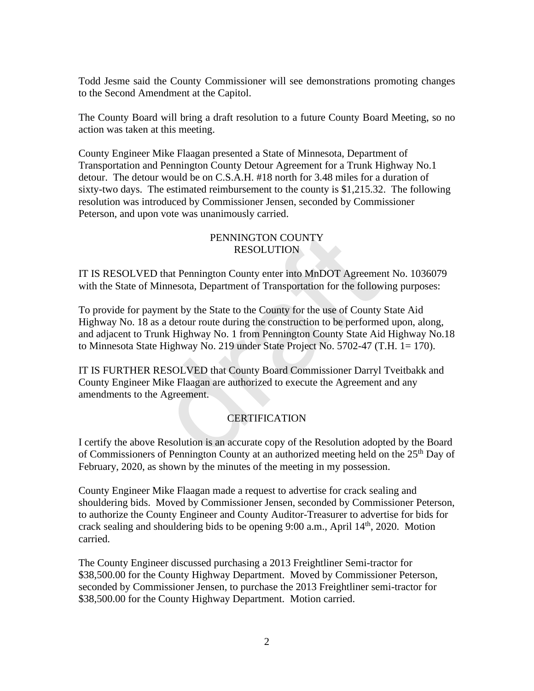Todd Jesme said the County Commissioner will see demonstrations promoting changes to the Second Amendment at the Capitol.

The County Board will bring a draft resolution to a future County Board Meeting, so no action was taken at this meeting.

County Engineer Mike Flaagan presented a State of Minnesota, Department of Transportation and Pennington County Detour Agreement for a Trunk Highway No.1 detour. The detour would be on C.S.A.H. #18 north for 3.48 miles for a duration of sixty-two days. The estimated reimbursement to the county is \$1,215.32. The following resolution was introduced by Commissioner Jensen, seconded by Commissioner Peterson, and upon vote was unanimously carried.

#### PENNINGTON COUNTY RESOLUTION

IT IS RESOLVED that Pennington County enter into MnDOT Agreement No. 1036079 with the State of Minnesota, Department of Transportation for the following purposes:

To provide for payment by the State to the County for the use of County State Aid Highway No. 18 as a detour route during the construction to be performed upon, along, and adjacent to Trunk Highway No. 1 from Pennington County State Aid Highway No.18 to Minnesota State Highway No. 219 under State Project No. 5702-47 (T.H. 1= 170). PENNINGTON COUNTY<br>
RESOLUTION<br>
D that Pennington County enter into MnDOT Agreeme<br>
Minnesota, Department of Transportation for the follow<br>
yment by the State to the County for the use of County<br>
as a detour route during the

IT IS FURTHER RESOLVED that County Board Commissioner Darryl Tveitbakk and County Engineer Mike Flaagan are authorized to execute the Agreement and any amendments to the Agreement.

#### **CERTIFICATION**

I certify the above Resolution is an accurate copy of the Resolution adopted by the Board of Commissioners of Pennington County at an authorized meeting held on the  $25<sup>th</sup>$  Day of February, 2020, as shown by the minutes of the meeting in my possession.

County Engineer Mike Flaagan made a request to advertise for crack sealing and shouldering bids. Moved by Commissioner Jensen, seconded by Commissioner Peterson, to authorize the County Engineer and County Auditor-Treasurer to advertise for bids for crack sealing and shouldering bids to be opening 9:00 a.m., April 14<sup>th</sup>, 2020. Motion carried.

The County Engineer discussed purchasing a 2013 Freightliner Semi-tractor for \$38,500.00 for the County Highway Department. Moved by Commissioner Peterson, seconded by Commissioner Jensen, to purchase the 2013 Freightliner semi-tractor for \$38,500.00 for the County Highway Department. Motion carried.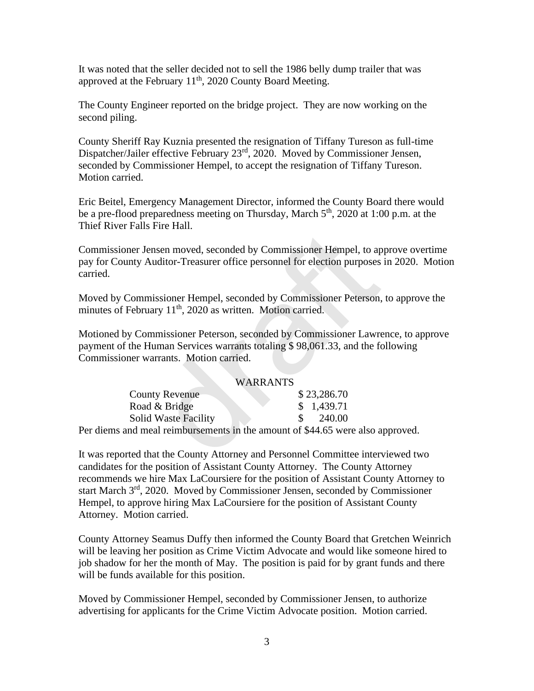It was noted that the seller decided not to sell the 1986 belly dump trailer that was approved at the February  $11<sup>th</sup>$ , 2020 County Board Meeting.

The County Engineer reported on the bridge project. They are now working on the second piling.

County Sheriff Ray Kuznia presented the resignation of Tiffany Tureson as full-time Dispatcher/Jailer effective February 23<sup>rd</sup>, 2020. Moved by Commissioner Jensen, seconded by Commissioner Hempel, to accept the resignation of Tiffany Tureson. Motion carried.

Eric Beitel, Emergency Management Director, informed the County Board there would be a pre-flood preparedness meeting on Thursday, March 5<sup>th</sup>, 2020 at 1:00 p.m. at the Thief River Falls Fire Hall.

Commissioner Jensen moved, seconded by Commissioner Hempel, to approve overtime pay for County Auditor-Treasurer office personnel for election purposes in 2020. Motion carried.

Moved by Commissioner Hempel, seconded by Commissioner Peterson, to approve the minutes of February 11<sup>th</sup>, 2020 as written. Motion carried.

Motioned by Commissioner Peterson, seconded by Commissioner Lawrence, to approve payment of the Human Services warrants totaling \$ 98,061.33, and the following Commissioner warrants. Motion carried.

#### WARRANTS

| ommissioner Jensen moved, seconded by Commissioner Hempel, to approv<br>ay for County Auditor-Treasurer office personnel for election purposes in 2<br>arried.                               |             |
|----------------------------------------------------------------------------------------------------------------------------------------------------------------------------------------------|-------------|
| loved by Commissioner Hempel, seconded by Commissioner Peterson, to a<br>inutes of February 11 <sup>th</sup> , 2020 as written. Motion carried.                                              |             |
| Iotioned by Commissioner Peterson, seconded by Commissioner Lawrence,<br>ayment of the Human Services warrants totaling \$98,061.33, and the follow<br>ommissioner warrants. Motion carried. |             |
|                                                                                                                                                                                              | WARRANTS    |
| <b>County Revenue</b>                                                                                                                                                                        | \$23,286.70 |
| Road & Bridge                                                                                                                                                                                | \$1,439.71  |
| <b>Solid Waste Facility</b>                                                                                                                                                                  | 240.00      |
| er diems and meal reimbursements in the amount of \$44.65 were also appro                                                                                                                    |             |
| was reported that the County Attorney and Personnel Committee interview                                                                                                                      |             |

Per diems and meal reimbursements in the amount of \$44.65 were also approved.

It was reported that the County Attorney and Personnel Committee interviewed two candidates for the position of Assistant County Attorney. The County Attorney recommends we hire Max LaCoursiere for the position of Assistant County Attorney to start March 3rd, 2020. Moved by Commissioner Jensen, seconded by Commissioner Hempel, to approve hiring Max LaCoursiere for the position of Assistant County Attorney. Motion carried.

County Attorney Seamus Duffy then informed the County Board that Gretchen Weinrich will be leaving her position as Crime Victim Advocate and would like someone hired to job shadow for her the month of May. The position is paid for by grant funds and there will be funds available for this position.

Moved by Commissioner Hempel, seconded by Commissioner Jensen, to authorize advertising for applicants for the Crime Victim Advocate position. Motion carried.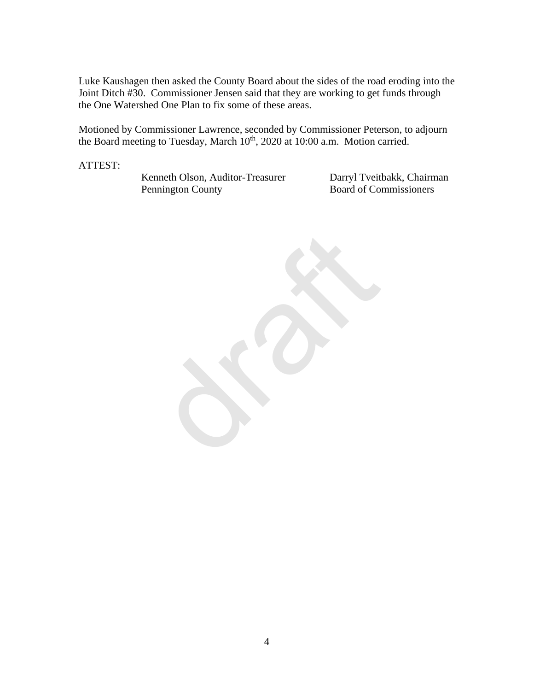Luke Kaushagen then asked the County Board about the sides of the road eroding into the Joint Ditch #30. Commissioner Jensen said that they are working to get funds through the One Watershed One Plan to fix some of these areas.

Motioned by Commissioner Lawrence, seconded by Commissioner Peterson, to adjourn the Board meeting to Tuesday, March  $10<sup>th</sup>$ , 2020 at 10:00 a.m. Motion carried.

ATTEST:

Kenneth Olson, Auditor-Treasurer Darryl Tveitbakk, Chairman Pennington County Board of Commissioners

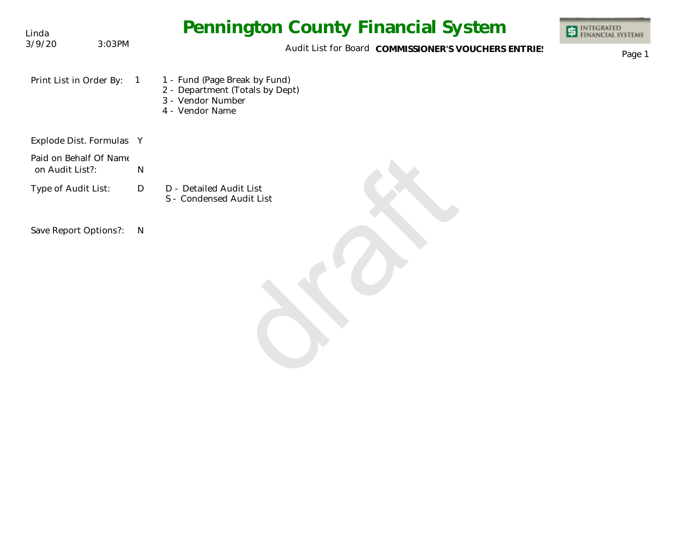| Linda                                     |                | <b>Pennington County Financial System</b>                                                                | <b>INTEGRATED<br/>FINANCIAL SYSTEMS</b> |
|-------------------------------------------|----------------|----------------------------------------------------------------------------------------------------------|-----------------------------------------|
| 3/9/20                                    | 3:03PM         | Audit List for Board COMMISSIONER'S VOUCHERS ENTRIES                                                     | Page 1                                  |
| Print List in Order By:                   | $\overline{1}$ | 1 - Fund (Page Break by Fund)<br>2 - Department (Totals by Dept)<br>3 - Vendor Number<br>4 - Vendor Name |                                         |
| Explode Dist. Formulas Y                  |                |                                                                                                          |                                         |
| Paid on Behalf Of Name<br>on Audit List?: | $\mathsf{N}$   |                                                                                                          |                                         |
| Type of Audit List:                       | D              | D - Detailed Audit List<br>S - Condensed Audit List                                                      |                                         |
| Save Report Options?:                     | N              |                                                                                                          |                                         |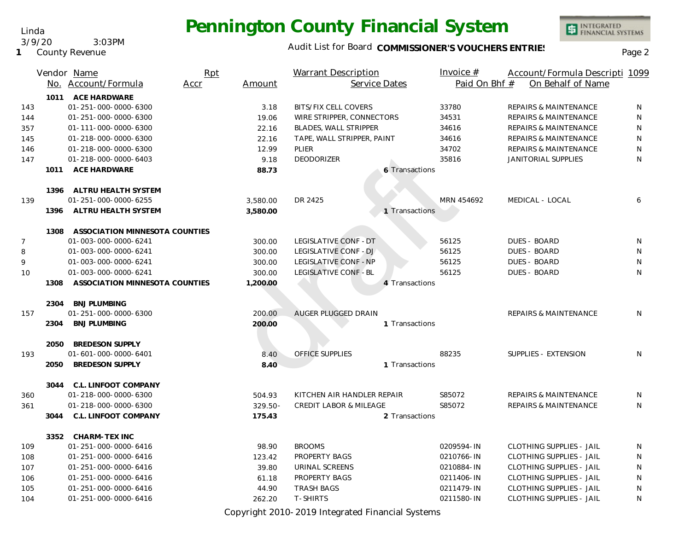#### Audit List for Board COMMISSIONER'S VOUCHERS ENTRIES<br>Page 2

|                |      | Vendor Name                    | Rpt  |            | <b>Warrant Description</b>        |                | Invoice $#$   | Account/Formula Descripti 1099   |   |
|----------------|------|--------------------------------|------|------------|-----------------------------------|----------------|---------------|----------------------------------|---|
|                |      | No. Account/Formula            | Accr | Amount     | Service Dates                     |                | Paid On Bhf # | On Behalf of Name                |   |
|                |      | 1011 ACE HARDWARE              |      |            |                                   |                |               |                                  |   |
| 143            |      | 01-251-000-0000-6300           |      | 3.18       | <b>BITS/FIX CELL COVERS</b>       |                | 33780         | REPAIRS & MAINTENANCE            | N |
| 144            |      | 01-251-000-0000-6300           |      | 19.06      | WIRE STRIPPER, CONNECTORS         |                | 34531         | REPAIRS & MAINTENANCE            | N |
| 357            |      | 01-111-000-0000-6300           |      | 22.16      | <b>BLADES, WALL STRIPPER</b>      |                | 34616         | <b>REPAIRS &amp; MAINTENANCE</b> | N |
| 145            |      | 01-218-000-0000-6300           |      | 22.16      | TAPE, WALL STRIPPER, PAINT        |                | 34616         | REPAIRS & MAINTENANCE            | N |
| 146            |      | 01-218-000-0000-6300           |      | 12.99      | PLIER                             |                | 34702         | REPAIRS & MAINTENANCE            | N |
| 147            |      | 01-218-000-0000-6403           |      | 9.18       | <b>DEODORIZER</b>                 |                | 35816         | JANITORIAL SUPPLIES              | N |
|                | 1011 | <b>ACE HARDWARE</b>            |      | 88.73      |                                   | 6 Transactions |               |                                  |   |
|                |      |                                |      |            |                                   |                |               |                                  |   |
|                |      | 1396 ALTRU HEALTH SYSTEM       |      |            |                                   |                |               |                                  |   |
| 139            |      | 01-251-000-0000-6255           |      | 3,580.00   | DR 2425                           |                | MRN 454692    | MEDICAL - LOCAL                  | 6 |
|                | 1396 | ALTRU HEALTH SYSTEM            |      | 3,580.00   |                                   | 1 Transactions |               |                                  |   |
|                | 1308 | ASSOCIATION MINNESOTA COUNTIES |      |            |                                   |                |               |                                  |   |
| $\overline{7}$ |      | 01-003-000-0000-6241           |      | 300.00     | LEGISLATIVE CONF - DT             |                | 56125         | <b>DUES - BOARD</b>              | N |
| 8              |      | 01-003-000-0000-6241           |      | 300.00     | LEGISLATIVE CONF - DJ             |                | 56125         | <b>DUES - BOARD</b>              | N |
| 9              |      | 01-003-000-0000-6241           |      | 300.00     | LEGISLATIVE CONF - NP             |                | 56125         | <b>DUES - BOARD</b>              | N |
| 10             |      | 01-003-000-0000-6241           |      | 300.00     | LEGISLATIVE CONF-BL               |                | 56125         | <b>DUES - BOARD</b>              | N |
|                | 1308 | ASSOCIATION MINNESOTA COUNTIES |      | 1,200.00   |                                   | 4 Transactions |               |                                  |   |
|                | 2304 | <b>BNJ PLUMBING</b>            |      |            |                                   |                |               |                                  |   |
| 157            |      | 01-251-000-0000-6300           |      | 200.00     | AUGER PLUGGED DRAIN               |                |               | <b>REPAIRS &amp; MAINTENANCE</b> | N |
|                | 2304 | <b>BNJ PLUMBING</b>            |      | 200.00     |                                   | 1 Transactions |               |                                  |   |
|                | 2050 | <b>BREDESON SUPPLY</b>         |      |            |                                   |                |               |                                  |   |
| 193            |      | 01-601-000-0000-6401           |      | 8.40       | <b>OFFICE SUPPLIES</b>            |                | 88235         | SUPPLIES - EXTENSION             | N |
|                | 2050 | <b>BREDESON SUPPLY</b>         |      | 8.40       |                                   | 1 Transactions |               |                                  |   |
|                |      |                                |      |            |                                   |                |               |                                  |   |
|                | 3044 | C.L. LINFOOT COMPANY           |      |            |                                   |                |               |                                  |   |
| 360            |      | 01-218-000-0000-6300           |      | 504.93     | KITCHEN AIR HANDLER REPAIR        |                | S85072        | <b>REPAIRS &amp; MAINTENANCE</b> | N |
| 361            |      | 01-218-000-0000-6300           |      | $329.50 -$ | <b>CREDIT LABOR &amp; MILEAGE</b> |                | S85072        | REPAIRS & MAINTENANCE            | N |
|                | 3044 | C.L. LINFOOT COMPANY           |      | 175.43     |                                   | 2 Transactions |               |                                  |   |
|                | 3352 | <b>CHARM-TEX INC</b>           |      |            |                                   |                |               |                                  |   |
| 109            |      | 01-251-000-0000-6416           |      | 98.90      | <b>BROOMS</b>                     |                | 0209594-IN    | <b>CLOTHING SUPPLIES - JAIL</b>  | N |
| 108            |      | 01-251-000-0000-6416           |      | 123.42     | PROPERTY BAGS                     |                | 0210766-IN    | <b>CLOTHING SUPPLIES - JAIL</b>  | N |
| 107            |      | 01-251-000-0000-6416           |      | 39.80      | URINAL SCREENS                    |                | 0210884-IN    | <b>CLOTHING SUPPLIES - JAIL</b>  | N |
| 106            |      | 01-251-000-0000-6416           |      | 61.18      | PROPERTY BAGS                     |                | 0211406-IN    | <b>CLOTHING SUPPLIES - JAIL</b>  | N |
| 105            |      | 01-251-000-0000-6416           |      | 44.90      | <b>TRASH BAGS</b>                 |                | 0211479-IN    | <b>CLOTHING SUPPLIES - JAIL</b>  | N |
| 104            |      | 01-251-000-0000-6416           |      | 262.20     | <b>T-SHIRTS</b>                   |                | 0211580-IN    | <b>CLOTHING SUPPLIES - JAIL</b>  | N |

Copyright 2010-2019 Integrated Financial Systems

Linda

**1** County Revenue 3/9/20 3:03PM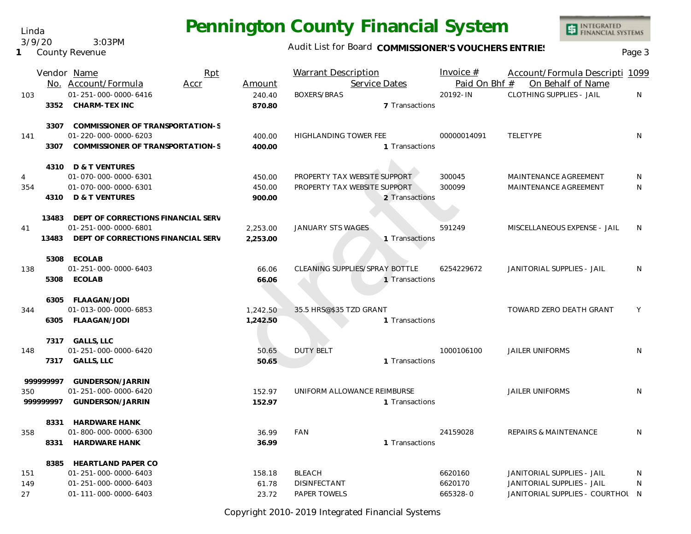Linda 3/9/20 3:03PM

**1** County Revenue

### Audit List for Board COMMISSIONER'S VOUCHERS ENTRIES<br>Page 3

INTEGRATED<br>FINANCIAL SYSTEMS

|                |       | Vendor Name<br>Rpt                       |          | <b>Warrant Description</b>     | Invoice $#$   | Account/Formula Descripti 1099   |    |
|----------------|-------|------------------------------------------|----------|--------------------------------|---------------|----------------------------------|----|
|                |       | No. Account/Formula<br>Accr              | Amount   | Service Dates                  | Paid On Bhf # | On Behalf of Name                |    |
| 103            |       | 01-251-000-0000-6416                     | 240.40   | <b>BOXERS/BRAS</b>             | 20192-IN      | <b>CLOTHING SUPPLIES - JAIL</b>  | N  |
|                | 3352  | CHARM-TEX INC                            | 870.80   | 7 Transactions                 |               |                                  |    |
|                | 3307  | COMMISSIONER OF TRANSPORTATION-S         |          |                                |               |                                  |    |
| 141            |       | 01-220-000-0000-6203                     | 400.00   | <b>HIGHLANDING TOWER FEE</b>   | 00000014091   | TELETYPE                         | N. |
|                | 3307  | COMMISSIONER OF TRANSPORTATION-S         | 400.00   | 1 Transactions                 |               |                                  |    |
|                |       | 4310 D & T VENTURES                      |          |                                |               |                                  |    |
| $\overline{4}$ |       | 01-070-000-0000-6301                     | 450.00   | PROPERTY TAX WEBSITE SUPPORT   | 300045        | MAINTENANCE AGREEMENT            | N  |
| 354            |       | 01-070-000-0000-6301                     | 450.00   | PROPERTY TAX WEBSITE SUPPORT   | 300099        | MAINTENANCE AGREEMENT            | N  |
|                |       | 4310 D & T VENTURES                      | 900.00   | 2 Transactions                 |               |                                  |    |
|                |       | 13483 DEPT OF CORRECTIONS FINANCIAL SERV |          |                                |               |                                  |    |
| 41             |       | 01-251-000-0000-6801                     | 2,253.00 | JANUARY STS WAGES              | 591249        | MISCELLANEOUS EXPENSE - JAIL     | N  |
|                | 13483 | DEPT OF CORRECTIONS FINANCIAL SERV       | 2,253.00 | 1 Transactions                 |               |                                  |    |
|                |       | 5308 ECOLAB                              |          |                                |               |                                  |    |
| 138            |       | 01-251-000-0000-6403                     | 66.06    | CLEANING SUPPLIES/SPRAY BOTTLE | 6254229672    | JANITORIAL SUPPLIES - JAIL       | N  |
|                |       | 5308 ECOLAB                              | 66.06    | 1 Transactions                 |               |                                  |    |
|                |       | 6305 FLAAGAN/JODI                        |          |                                |               |                                  |    |
| 344            |       | 01-013-000-0000-6853                     | 1,242.50 | 35.5 HRS@\$35 TZD GRANT        |               | TOWARD ZERO DEATH GRANT          | Y  |
|                |       | 6305 FLAAGAN/JODI                        | 1,242.50 | 1 Transactions                 |               |                                  |    |
|                |       | 7317 GALLS, LLC                          |          |                                |               |                                  |    |
| 148            |       | 01-251-000-0000-6420                     | 50.65    | <b>DUTY BELT</b>               | 1000106100    | <b>JAILER UNIFORMS</b>           | N  |
|                | 7317  | <b>GALLS, LLC</b>                        | 50.65    | 1 Transactions                 |               |                                  |    |
| 99999997       |       | GUNDERSON/JARRIN                         |          |                                |               |                                  |    |
| 350            |       | 01-251-000-0000-6420                     | 152.97   | UNIFORM ALLOWANCE REIMBURSE    |               | <b>JAILER UNIFORMS</b>           | N. |
| 999999997      |       | GUNDERSON/JARRIN                         | 152.97   | 1 Transactions                 |               |                                  |    |
|                | 8331  | <b>HARDWARE HANK</b>                     |          |                                |               |                                  |    |
| 358            |       | 01-800-000-0000-6300                     | 36.99    | FAN                            | 24159028      | REPAIRS & MAINTENANCE            | N. |
|                | 8331  | <b>HARDWARE HANK</b>                     | 36.99    | 1 Transactions                 |               |                                  |    |
|                | 8385  | <b>HEARTLAND PAPER CO</b>                |          |                                |               |                                  |    |
| 151            |       | 01-251-000-0000-6403                     | 158.18   | <b>BLEACH</b>                  | 6620160       | JANITORIAL SUPPLIES - JAIL       | N. |
| 149            |       | 01-251-000-0000-6403                     | 61.78    | <b>DISINFECTANT</b>            | 6620170       | JANITORIAL SUPPLIES - JAIL       | N  |
| 27             |       | 01-111-000-0000-6403                     | 23.72    | <b>PAPER TOWELS</b>            | 665328-0      | JANITORIAL SUPPLIES - COURTHOL N |    |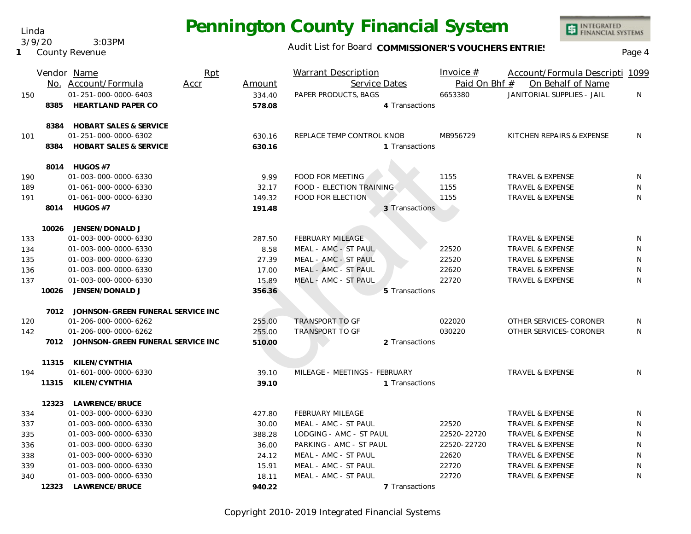Audit List for Board COMMISSIONER'S VOUCHERS ENTRIES<br>Page 4

INTEGRATED<br>FINANCIAL SYSTEMS

| Service Dates<br>Paid On Bhf #<br>On Behalf of Name<br>No. Account/Formula<br>Accr<br>Amount<br>01-251-000-0000-6403<br>JANITORIAL SUPPLIES - JAIL<br>PAPER PRODUCTS, BAGS<br>6653380<br>150<br>334.40<br>N<br><b>HEARTLAND PAPER CO</b><br>8385<br>578.08<br>4 Transactions<br><b>HOBART SALES &amp; SERVICE</b><br>8384<br>01-251-000-0000-6302<br>REPLACE TEMP CONTROL KNOB<br>MB956729<br>KITCHEN REPAIRS & EXPENSE<br>N<br>101<br>630.16<br><b>HOBART SALES &amp; SERVICE</b><br>8384<br>630.16<br>1 Transactions<br>8014 HUGOS #7<br>FOOD FOR MEETING<br>01-003-000-0000-6330<br>9.99<br>1155<br>TRAVEL & EXPENSE<br>190<br>N<br>32.17<br>FOOD - ELECTION TRAINING<br>1155<br><b>TRAVEL &amp; EXPENSE</b><br>N<br>01-061-000-0000-6330<br>189<br>1155<br>01-061-000-0000-6330<br>149.32<br><b>FOOD FOR ELECTION</b><br>TRAVEL & EXPENSE<br>N<br>191<br>8014 HUGOS #7<br>191.48<br>3 Transactions<br>10026<br>JENSEN/DONALD J<br>01-003-000-0000-6330<br><b>FEBRUARY MILEAGE</b><br><b>TRAVEL &amp; EXPENSE</b><br>N<br>287.50<br>133<br>22520<br>N<br>134<br>01-003-000-0000-6330<br>8.58<br>MEAL - AMC - ST PAUL<br><b>TRAVEL &amp; EXPENSE</b><br>MEAL - AMC - ST PAUL<br>22520<br>N<br>135<br>01-003-000-0000-6330<br>27.39<br><b>TRAVEL &amp; EXPENSE</b><br>22620<br>01-003-000-0000-6330<br>MEAL - AMC - ST PAUL<br>TRAVEL & EXPENSE<br>N<br>136<br>17.00<br>22720<br>N<br>137<br>01-003-000-0000-6330<br>15.89<br>MEAL - AMC - ST PAUL<br><b>TRAVEL &amp; EXPENSE</b><br>10026<br>JENSEN/DONALD J<br>356.36<br>5 Transactions<br>7012 JOHNSON-GREEN FUNERAL SERVICE INC<br><b>TRANSPORT TO GF</b><br>022020<br>OTHER SERVICES-CORONER<br>01-206-000-0000-6262<br>N<br>120<br>255.00<br><b>TRANSPORT TO GF</b><br>030220<br>01-206-000-0000-6262<br>255.00<br>OTHER SERVICES-CORONER<br>N<br>142<br>7012 JOHNSON-GREEN FUNERAL SERVICE INC<br>2 Transactions<br>510.00<br>KILEN/CYNTHIA<br>11315<br>01-601-000-0000-6330<br>MILEAGE - MEETINGS - FEBRUARY<br><b>TRAVEL &amp; EXPENSE</b><br>N<br>194<br>39.10<br>11315<br>KILEN/CYNTHIA<br>39.10<br>1 Transactions<br>LAWRENCE/BRUCE<br>12323<br>01-003-000-0000-6330<br><b>FEBRUARY MILEAGE</b><br><b>TRAVEL &amp; EXPENSE</b><br>334<br>427.80<br>N<br>30.00<br>22520<br>N<br>337<br>01-003-000-0000-6330<br>MEAL - AMC - ST PAUL<br><b>TRAVEL &amp; EXPENSE</b><br>N<br>335<br>01-003-000-0000-6330<br>388.28<br>LODGING - AMC - ST PAUL<br>22520-22720<br>TRAVEL & EXPENSE<br>$\mathsf{N}$<br>01-003-000-0000-6330<br>PARKING - AMC - ST PAUL<br>22520-22720<br>336<br>36.00<br><b>TRAVEL &amp; EXPENSE</b><br>MEAL - AMC - ST PAUL<br>22620<br>N<br>338<br>01-003-000-0000-6330<br>24.12<br><b>TRAVEL &amp; EXPENSE</b><br>MEAL - AMC - ST PAUL<br>22720<br>N<br>339<br>01-003-000-0000-6330<br>15.91<br>TRAVEL & EXPENSE<br>22720<br>01-003-000-0000-6330<br>MEAL - AMC - ST PAUL<br>N.<br>18.11<br><b>TRAVEL &amp; EXPENSE</b><br>340<br>LAWRENCE/BRUCE<br>12323<br>940.22<br>7 Transactions |  | Vendor Name | Rpt | <b>Warrant Description</b> | Invoice # | Account/Formula Descripti 1099 |  |
|-----------------------------------------------------------------------------------------------------------------------------------------------------------------------------------------------------------------------------------------------------------------------------------------------------------------------------------------------------------------------------------------------------------------------------------------------------------------------------------------------------------------------------------------------------------------------------------------------------------------------------------------------------------------------------------------------------------------------------------------------------------------------------------------------------------------------------------------------------------------------------------------------------------------------------------------------------------------------------------------------------------------------------------------------------------------------------------------------------------------------------------------------------------------------------------------------------------------------------------------------------------------------------------------------------------------------------------------------------------------------------------------------------------------------------------------------------------------------------------------------------------------------------------------------------------------------------------------------------------------------------------------------------------------------------------------------------------------------------------------------------------------------------------------------------------------------------------------------------------------------------------------------------------------------------------------------------------------------------------------------------------------------------------------------------------------------------------------------------------------------------------------------------------------------------------------------------------------------------------------------------------------------------------------------------------------------------------------------------------------------------------------------------------------------------------------------------------------------------------------------------------------------------------------------------------------------------------------------------------------------------------------------------------------------------------------------------------------------------------------------------------------------------------------------------------------------------------------------------------------------------------------------------------------------------------------------------------------|--|-------------|-----|----------------------------|-----------|--------------------------------|--|
|                                                                                                                                                                                                                                                                                                                                                                                                                                                                                                                                                                                                                                                                                                                                                                                                                                                                                                                                                                                                                                                                                                                                                                                                                                                                                                                                                                                                                                                                                                                                                                                                                                                                                                                                                                                                                                                                                                                                                                                                                                                                                                                                                                                                                                                                                                                                                                                                                                                                                                                                                                                                                                                                                                                                                                                                                                                                                                                                                                 |  |             |     |                            |           |                                |  |
|                                                                                                                                                                                                                                                                                                                                                                                                                                                                                                                                                                                                                                                                                                                                                                                                                                                                                                                                                                                                                                                                                                                                                                                                                                                                                                                                                                                                                                                                                                                                                                                                                                                                                                                                                                                                                                                                                                                                                                                                                                                                                                                                                                                                                                                                                                                                                                                                                                                                                                                                                                                                                                                                                                                                                                                                                                                                                                                                                                 |  |             |     |                            |           |                                |  |
|                                                                                                                                                                                                                                                                                                                                                                                                                                                                                                                                                                                                                                                                                                                                                                                                                                                                                                                                                                                                                                                                                                                                                                                                                                                                                                                                                                                                                                                                                                                                                                                                                                                                                                                                                                                                                                                                                                                                                                                                                                                                                                                                                                                                                                                                                                                                                                                                                                                                                                                                                                                                                                                                                                                                                                                                                                                                                                                                                                 |  |             |     |                            |           |                                |  |
|                                                                                                                                                                                                                                                                                                                                                                                                                                                                                                                                                                                                                                                                                                                                                                                                                                                                                                                                                                                                                                                                                                                                                                                                                                                                                                                                                                                                                                                                                                                                                                                                                                                                                                                                                                                                                                                                                                                                                                                                                                                                                                                                                                                                                                                                                                                                                                                                                                                                                                                                                                                                                                                                                                                                                                                                                                                                                                                                                                 |  |             |     |                            |           |                                |  |
|                                                                                                                                                                                                                                                                                                                                                                                                                                                                                                                                                                                                                                                                                                                                                                                                                                                                                                                                                                                                                                                                                                                                                                                                                                                                                                                                                                                                                                                                                                                                                                                                                                                                                                                                                                                                                                                                                                                                                                                                                                                                                                                                                                                                                                                                                                                                                                                                                                                                                                                                                                                                                                                                                                                                                                                                                                                                                                                                                                 |  |             |     |                            |           |                                |  |
|                                                                                                                                                                                                                                                                                                                                                                                                                                                                                                                                                                                                                                                                                                                                                                                                                                                                                                                                                                                                                                                                                                                                                                                                                                                                                                                                                                                                                                                                                                                                                                                                                                                                                                                                                                                                                                                                                                                                                                                                                                                                                                                                                                                                                                                                                                                                                                                                                                                                                                                                                                                                                                                                                                                                                                                                                                                                                                                                                                 |  |             |     |                            |           |                                |  |
|                                                                                                                                                                                                                                                                                                                                                                                                                                                                                                                                                                                                                                                                                                                                                                                                                                                                                                                                                                                                                                                                                                                                                                                                                                                                                                                                                                                                                                                                                                                                                                                                                                                                                                                                                                                                                                                                                                                                                                                                                                                                                                                                                                                                                                                                                                                                                                                                                                                                                                                                                                                                                                                                                                                                                                                                                                                                                                                                                                 |  |             |     |                            |           |                                |  |
|                                                                                                                                                                                                                                                                                                                                                                                                                                                                                                                                                                                                                                                                                                                                                                                                                                                                                                                                                                                                                                                                                                                                                                                                                                                                                                                                                                                                                                                                                                                                                                                                                                                                                                                                                                                                                                                                                                                                                                                                                                                                                                                                                                                                                                                                                                                                                                                                                                                                                                                                                                                                                                                                                                                                                                                                                                                                                                                                                                 |  |             |     |                            |           |                                |  |
|                                                                                                                                                                                                                                                                                                                                                                                                                                                                                                                                                                                                                                                                                                                                                                                                                                                                                                                                                                                                                                                                                                                                                                                                                                                                                                                                                                                                                                                                                                                                                                                                                                                                                                                                                                                                                                                                                                                                                                                                                                                                                                                                                                                                                                                                                                                                                                                                                                                                                                                                                                                                                                                                                                                                                                                                                                                                                                                                                                 |  |             |     |                            |           |                                |  |
|                                                                                                                                                                                                                                                                                                                                                                                                                                                                                                                                                                                                                                                                                                                                                                                                                                                                                                                                                                                                                                                                                                                                                                                                                                                                                                                                                                                                                                                                                                                                                                                                                                                                                                                                                                                                                                                                                                                                                                                                                                                                                                                                                                                                                                                                                                                                                                                                                                                                                                                                                                                                                                                                                                                                                                                                                                                                                                                                                                 |  |             |     |                            |           |                                |  |
|                                                                                                                                                                                                                                                                                                                                                                                                                                                                                                                                                                                                                                                                                                                                                                                                                                                                                                                                                                                                                                                                                                                                                                                                                                                                                                                                                                                                                                                                                                                                                                                                                                                                                                                                                                                                                                                                                                                                                                                                                                                                                                                                                                                                                                                                                                                                                                                                                                                                                                                                                                                                                                                                                                                                                                                                                                                                                                                                                                 |  |             |     |                            |           |                                |  |
|                                                                                                                                                                                                                                                                                                                                                                                                                                                                                                                                                                                                                                                                                                                                                                                                                                                                                                                                                                                                                                                                                                                                                                                                                                                                                                                                                                                                                                                                                                                                                                                                                                                                                                                                                                                                                                                                                                                                                                                                                                                                                                                                                                                                                                                                                                                                                                                                                                                                                                                                                                                                                                                                                                                                                                                                                                                                                                                                                                 |  |             |     |                            |           |                                |  |
|                                                                                                                                                                                                                                                                                                                                                                                                                                                                                                                                                                                                                                                                                                                                                                                                                                                                                                                                                                                                                                                                                                                                                                                                                                                                                                                                                                                                                                                                                                                                                                                                                                                                                                                                                                                                                                                                                                                                                                                                                                                                                                                                                                                                                                                                                                                                                                                                                                                                                                                                                                                                                                                                                                                                                                                                                                                                                                                                                                 |  |             |     |                            |           |                                |  |
|                                                                                                                                                                                                                                                                                                                                                                                                                                                                                                                                                                                                                                                                                                                                                                                                                                                                                                                                                                                                                                                                                                                                                                                                                                                                                                                                                                                                                                                                                                                                                                                                                                                                                                                                                                                                                                                                                                                                                                                                                                                                                                                                                                                                                                                                                                                                                                                                                                                                                                                                                                                                                                                                                                                                                                                                                                                                                                                                                                 |  |             |     |                            |           |                                |  |
|                                                                                                                                                                                                                                                                                                                                                                                                                                                                                                                                                                                                                                                                                                                                                                                                                                                                                                                                                                                                                                                                                                                                                                                                                                                                                                                                                                                                                                                                                                                                                                                                                                                                                                                                                                                                                                                                                                                                                                                                                                                                                                                                                                                                                                                                                                                                                                                                                                                                                                                                                                                                                                                                                                                                                                                                                                                                                                                                                                 |  |             |     |                            |           |                                |  |
|                                                                                                                                                                                                                                                                                                                                                                                                                                                                                                                                                                                                                                                                                                                                                                                                                                                                                                                                                                                                                                                                                                                                                                                                                                                                                                                                                                                                                                                                                                                                                                                                                                                                                                                                                                                                                                                                                                                                                                                                                                                                                                                                                                                                                                                                                                                                                                                                                                                                                                                                                                                                                                                                                                                                                                                                                                                                                                                                                                 |  |             |     |                            |           |                                |  |
|                                                                                                                                                                                                                                                                                                                                                                                                                                                                                                                                                                                                                                                                                                                                                                                                                                                                                                                                                                                                                                                                                                                                                                                                                                                                                                                                                                                                                                                                                                                                                                                                                                                                                                                                                                                                                                                                                                                                                                                                                                                                                                                                                                                                                                                                                                                                                                                                                                                                                                                                                                                                                                                                                                                                                                                                                                                                                                                                                                 |  |             |     |                            |           |                                |  |
|                                                                                                                                                                                                                                                                                                                                                                                                                                                                                                                                                                                                                                                                                                                                                                                                                                                                                                                                                                                                                                                                                                                                                                                                                                                                                                                                                                                                                                                                                                                                                                                                                                                                                                                                                                                                                                                                                                                                                                                                                                                                                                                                                                                                                                                                                                                                                                                                                                                                                                                                                                                                                                                                                                                                                                                                                                                                                                                                                                 |  |             |     |                            |           |                                |  |
|                                                                                                                                                                                                                                                                                                                                                                                                                                                                                                                                                                                                                                                                                                                                                                                                                                                                                                                                                                                                                                                                                                                                                                                                                                                                                                                                                                                                                                                                                                                                                                                                                                                                                                                                                                                                                                                                                                                                                                                                                                                                                                                                                                                                                                                                                                                                                                                                                                                                                                                                                                                                                                                                                                                                                                                                                                                                                                                                                                 |  |             |     |                            |           |                                |  |
|                                                                                                                                                                                                                                                                                                                                                                                                                                                                                                                                                                                                                                                                                                                                                                                                                                                                                                                                                                                                                                                                                                                                                                                                                                                                                                                                                                                                                                                                                                                                                                                                                                                                                                                                                                                                                                                                                                                                                                                                                                                                                                                                                                                                                                                                                                                                                                                                                                                                                                                                                                                                                                                                                                                                                                                                                                                                                                                                                                 |  |             |     |                            |           |                                |  |
|                                                                                                                                                                                                                                                                                                                                                                                                                                                                                                                                                                                                                                                                                                                                                                                                                                                                                                                                                                                                                                                                                                                                                                                                                                                                                                                                                                                                                                                                                                                                                                                                                                                                                                                                                                                                                                                                                                                                                                                                                                                                                                                                                                                                                                                                                                                                                                                                                                                                                                                                                                                                                                                                                                                                                                                                                                                                                                                                                                 |  |             |     |                            |           |                                |  |
|                                                                                                                                                                                                                                                                                                                                                                                                                                                                                                                                                                                                                                                                                                                                                                                                                                                                                                                                                                                                                                                                                                                                                                                                                                                                                                                                                                                                                                                                                                                                                                                                                                                                                                                                                                                                                                                                                                                                                                                                                                                                                                                                                                                                                                                                                                                                                                                                                                                                                                                                                                                                                                                                                                                                                                                                                                                                                                                                                                 |  |             |     |                            |           |                                |  |
|                                                                                                                                                                                                                                                                                                                                                                                                                                                                                                                                                                                                                                                                                                                                                                                                                                                                                                                                                                                                                                                                                                                                                                                                                                                                                                                                                                                                                                                                                                                                                                                                                                                                                                                                                                                                                                                                                                                                                                                                                                                                                                                                                                                                                                                                                                                                                                                                                                                                                                                                                                                                                                                                                                                                                                                                                                                                                                                                                                 |  |             |     |                            |           |                                |  |
|                                                                                                                                                                                                                                                                                                                                                                                                                                                                                                                                                                                                                                                                                                                                                                                                                                                                                                                                                                                                                                                                                                                                                                                                                                                                                                                                                                                                                                                                                                                                                                                                                                                                                                                                                                                                                                                                                                                                                                                                                                                                                                                                                                                                                                                                                                                                                                                                                                                                                                                                                                                                                                                                                                                                                                                                                                                                                                                                                                 |  |             |     |                            |           |                                |  |
|                                                                                                                                                                                                                                                                                                                                                                                                                                                                                                                                                                                                                                                                                                                                                                                                                                                                                                                                                                                                                                                                                                                                                                                                                                                                                                                                                                                                                                                                                                                                                                                                                                                                                                                                                                                                                                                                                                                                                                                                                                                                                                                                                                                                                                                                                                                                                                                                                                                                                                                                                                                                                                                                                                                                                                                                                                                                                                                                                                 |  |             |     |                            |           |                                |  |
|                                                                                                                                                                                                                                                                                                                                                                                                                                                                                                                                                                                                                                                                                                                                                                                                                                                                                                                                                                                                                                                                                                                                                                                                                                                                                                                                                                                                                                                                                                                                                                                                                                                                                                                                                                                                                                                                                                                                                                                                                                                                                                                                                                                                                                                                                                                                                                                                                                                                                                                                                                                                                                                                                                                                                                                                                                                                                                                                                                 |  |             |     |                            |           |                                |  |
|                                                                                                                                                                                                                                                                                                                                                                                                                                                                                                                                                                                                                                                                                                                                                                                                                                                                                                                                                                                                                                                                                                                                                                                                                                                                                                                                                                                                                                                                                                                                                                                                                                                                                                                                                                                                                                                                                                                                                                                                                                                                                                                                                                                                                                                                                                                                                                                                                                                                                                                                                                                                                                                                                                                                                                                                                                                                                                                                                                 |  |             |     |                            |           |                                |  |
|                                                                                                                                                                                                                                                                                                                                                                                                                                                                                                                                                                                                                                                                                                                                                                                                                                                                                                                                                                                                                                                                                                                                                                                                                                                                                                                                                                                                                                                                                                                                                                                                                                                                                                                                                                                                                                                                                                                                                                                                                                                                                                                                                                                                                                                                                                                                                                                                                                                                                                                                                                                                                                                                                                                                                                                                                                                                                                                                                                 |  |             |     |                            |           |                                |  |
|                                                                                                                                                                                                                                                                                                                                                                                                                                                                                                                                                                                                                                                                                                                                                                                                                                                                                                                                                                                                                                                                                                                                                                                                                                                                                                                                                                                                                                                                                                                                                                                                                                                                                                                                                                                                                                                                                                                                                                                                                                                                                                                                                                                                                                                                                                                                                                                                                                                                                                                                                                                                                                                                                                                                                                                                                                                                                                                                                                 |  |             |     |                            |           |                                |  |
|                                                                                                                                                                                                                                                                                                                                                                                                                                                                                                                                                                                                                                                                                                                                                                                                                                                                                                                                                                                                                                                                                                                                                                                                                                                                                                                                                                                                                                                                                                                                                                                                                                                                                                                                                                                                                                                                                                                                                                                                                                                                                                                                                                                                                                                                                                                                                                                                                                                                                                                                                                                                                                                                                                                                                                                                                                                                                                                                                                 |  |             |     |                            |           |                                |  |
|                                                                                                                                                                                                                                                                                                                                                                                                                                                                                                                                                                                                                                                                                                                                                                                                                                                                                                                                                                                                                                                                                                                                                                                                                                                                                                                                                                                                                                                                                                                                                                                                                                                                                                                                                                                                                                                                                                                                                                                                                                                                                                                                                                                                                                                                                                                                                                                                                                                                                                                                                                                                                                                                                                                                                                                                                                                                                                                                                                 |  |             |     |                            |           |                                |  |
|                                                                                                                                                                                                                                                                                                                                                                                                                                                                                                                                                                                                                                                                                                                                                                                                                                                                                                                                                                                                                                                                                                                                                                                                                                                                                                                                                                                                                                                                                                                                                                                                                                                                                                                                                                                                                                                                                                                                                                                                                                                                                                                                                                                                                                                                                                                                                                                                                                                                                                                                                                                                                                                                                                                                                                                                                                                                                                                                                                 |  |             |     |                            |           |                                |  |
|                                                                                                                                                                                                                                                                                                                                                                                                                                                                                                                                                                                                                                                                                                                                                                                                                                                                                                                                                                                                                                                                                                                                                                                                                                                                                                                                                                                                                                                                                                                                                                                                                                                                                                                                                                                                                                                                                                                                                                                                                                                                                                                                                                                                                                                                                                                                                                                                                                                                                                                                                                                                                                                                                                                                                                                                                                                                                                                                                                 |  |             |     |                            |           |                                |  |
|                                                                                                                                                                                                                                                                                                                                                                                                                                                                                                                                                                                                                                                                                                                                                                                                                                                                                                                                                                                                                                                                                                                                                                                                                                                                                                                                                                                                                                                                                                                                                                                                                                                                                                                                                                                                                                                                                                                                                                                                                                                                                                                                                                                                                                                                                                                                                                                                                                                                                                                                                                                                                                                                                                                                                                                                                                                                                                                                                                 |  |             |     |                            |           |                                |  |
|                                                                                                                                                                                                                                                                                                                                                                                                                                                                                                                                                                                                                                                                                                                                                                                                                                                                                                                                                                                                                                                                                                                                                                                                                                                                                                                                                                                                                                                                                                                                                                                                                                                                                                                                                                                                                                                                                                                                                                                                                                                                                                                                                                                                                                                                                                                                                                                                                                                                                                                                                                                                                                                                                                                                                                                                                                                                                                                                                                 |  |             |     |                            |           |                                |  |
|                                                                                                                                                                                                                                                                                                                                                                                                                                                                                                                                                                                                                                                                                                                                                                                                                                                                                                                                                                                                                                                                                                                                                                                                                                                                                                                                                                                                                                                                                                                                                                                                                                                                                                                                                                                                                                                                                                                                                                                                                                                                                                                                                                                                                                                                                                                                                                                                                                                                                                                                                                                                                                                                                                                                                                                                                                                                                                                                                                 |  |             |     |                            |           |                                |  |
|                                                                                                                                                                                                                                                                                                                                                                                                                                                                                                                                                                                                                                                                                                                                                                                                                                                                                                                                                                                                                                                                                                                                                                                                                                                                                                                                                                                                                                                                                                                                                                                                                                                                                                                                                                                                                                                                                                                                                                                                                                                                                                                                                                                                                                                                                                                                                                                                                                                                                                                                                                                                                                                                                                                                                                                                                                                                                                                                                                 |  |             |     |                            |           |                                |  |
|                                                                                                                                                                                                                                                                                                                                                                                                                                                                                                                                                                                                                                                                                                                                                                                                                                                                                                                                                                                                                                                                                                                                                                                                                                                                                                                                                                                                                                                                                                                                                                                                                                                                                                                                                                                                                                                                                                                                                                                                                                                                                                                                                                                                                                                                                                                                                                                                                                                                                                                                                                                                                                                                                                                                                                                                                                                                                                                                                                 |  |             |     |                            |           |                                |  |
|                                                                                                                                                                                                                                                                                                                                                                                                                                                                                                                                                                                                                                                                                                                                                                                                                                                                                                                                                                                                                                                                                                                                                                                                                                                                                                                                                                                                                                                                                                                                                                                                                                                                                                                                                                                                                                                                                                                                                                                                                                                                                                                                                                                                                                                                                                                                                                                                                                                                                                                                                                                                                                                                                                                                                                                                                                                                                                                                                                 |  |             |     |                            |           |                                |  |

Linda 3/9/20 3:03PM

**1** County Revenue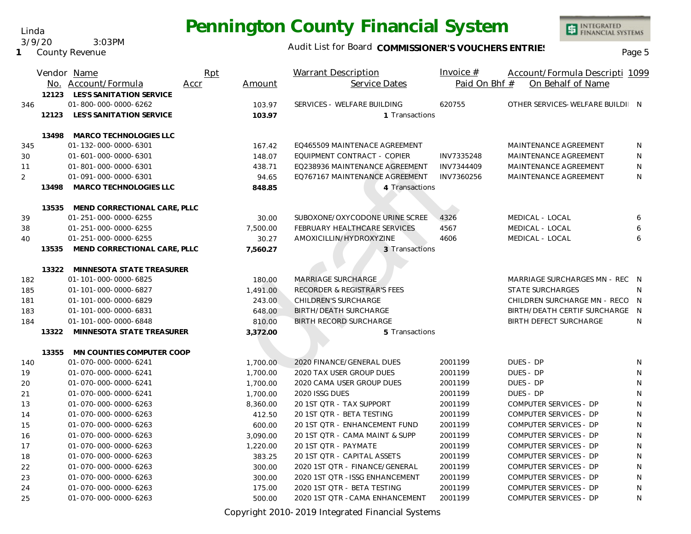Linda 3/9/20 3:03PM

**1** County Revenue

#### Audit List for Board COMMISSIONER'S VOUCHERS ENTRIES<br>Page 5

INTEGRATED<br>FINANCIAL SYSTEMS

|                |       | Vendor Name<br>No. Account/Formula | Rpt<br>Accr | Amount   | <b>Warrant Description</b><br>Service Dates | Invoice $#$<br>Paid On Bhf # | Account/Formula Descripti 1099<br>On Behalf of Name |              |
|----------------|-------|------------------------------------|-------------|----------|---------------------------------------------|------------------------------|-----------------------------------------------------|--------------|
|                | 12123 | LES'S SANITATION SERVICE           |             |          |                                             |                              |                                                     |              |
| 346            |       | 01-800-000-0000-6262               |             | 103.97   | SERVICES - WELFARE BUILDING                 | 620755                       | OTHER SERVICES-WELFARE BUILDI N                     |              |
|                | 12123 | LES'S SANITATION SERVICE           |             | 103.97   | 1 Transactions                              |                              |                                                     |              |
|                | 13498 | MARCO TECHNOLOGIES LLC             |             |          |                                             |                              |                                                     |              |
| 345            |       | 01-132-000-0000-6301               |             | 167.42   | EQ465509 MAINTENACE AGREEMENT               |                              | MAINTENANCE AGREEMENT                               | N            |
| 30             |       | 01-601-000-0000-6301               |             | 148.07   | EQUIPMENT CONTRACT - COPIER                 | INV7335248                   | MAINTENANCE AGREEMENT                               | $\mathsf{N}$ |
| 11             |       | 01-801-000-0000-6301               |             | 438.71   | EQ238936 MAINTENANCE AGREEMENT              | INV7344409                   | <b>MAINTENANCE AGREEMENT</b>                        | N            |
| $\overline{2}$ |       | 01-091-000-0000-6301               |             | 94.65    | EQ767167 MAINTENANCE AGREEMENT              | INV7360256                   | MAINTENANCE AGREEMENT                               | N            |
|                | 13498 | MARCO TECHNOLOGIES LLC             |             | 848.85   | 4 Transactions                              |                              |                                                     |              |
|                | 13535 | MEND CORRECTIONAL CARE, PLLC       |             |          |                                             |                              |                                                     |              |
| 39             |       | 01-251-000-0000-6255               |             | 30.00    | SUBOXONE/OXYCODONE URINE SCREE              | 4326                         | MEDICAL - LOCAL                                     | 6            |
| 38             |       | 01-251-000-0000-6255               |             | 7,500.00 | FEBRUARY HEALTHCARE SERVICES                | 4567                         | MEDICAL - LOCAL                                     | 6            |
| 40             |       | 01-251-000-0000-6255               |             | 30.27    | AMOXICILLIN/HYDROXYZINE                     | 4606                         | MEDICAL - LOCAL                                     | 6            |
|                | 13535 | MEND CORRECTIONAL CARE, PLLC       |             | 7,560.27 | 3 Transactions                              |                              |                                                     |              |
|                | 13322 | MINNESOTA STATE TREASURER          |             |          |                                             |                              |                                                     |              |
| 182            |       | 01-101-000-0000-6825               |             | 180.00   | <b>MARRIAGE SURCHARGE</b>                   |                              | MARRIAGE SURCHARGES MN - REC N                      |              |
| 185            |       | 01-101-000-0000-6827               |             | 1,491.00 | <b>RECORDER &amp; REGISTRAR'S FEES</b>      |                              | <b>STATE SURCHARGES</b>                             | N            |
| 181            |       | 01-101-000-0000-6829               |             | 243.00   | <b>CHILDREN'S SURCHARGE</b>                 |                              | CHILDREN SURCHARGE MN - RECO N                      |              |
| 183            |       | 01-101-000-0000-6831               |             | 648.00   | <b>BIRTH/DEATH SURCHARGE</b>                |                              | BIRTH/DEATH CERTIF SURCHARGE N                      |              |
| 184            |       | 01-101-000-0000-6848               |             | 810.00   | <b>BIRTH RECORD SURCHARGE</b>               |                              | <b>BIRTH DEFECT SURCHARGE</b>                       | $\mathsf{N}$ |
|                | 13322 | MINNESOTA STATE TREASURER          |             | 3,372.00 | 5 Transactions                              |                              |                                                     |              |
|                |       |                                    |             |          |                                             |                              |                                                     |              |
|                | 13355 | MN COUNTIES COMPUTER COOP          |             |          |                                             |                              |                                                     |              |
| 140            |       | 01-070-000-0000-6241               |             | 1,700.00 | 2020 FINANCE/GENERAL DUES                   | 2001199                      | DUES - DP                                           | N            |
| 19             |       | 01-070-000-0000-6241               |             | 1,700.00 | 2020 TAX USER GROUP DUES                    | 2001199                      | DUES - DP                                           | N            |
| 20             |       | 01-070-000-0000-6241               |             | 1,700.00 | 2020 CAMA USER GROUP DUES                   | 2001199                      | DUES - DP                                           | N            |
| 21             |       | 01-070-000-0000-6241               |             | 1,700.00 | 2020 ISSG DUES                              | 2001199                      | DUES - DP                                           | N            |
| 13             |       | 01-070-000-0000-6263               |             | 8,360.00 | 20 1ST QTR - TAX SUPPORT                    | 2001199                      | COMPUTER SERVICES - DP                              | N            |
| 14             |       | 01-070-000-0000-6263               |             | 412.50   | 20 1ST QTR - BETA TESTING                   | 2001199                      | COMPUTER SERVICES - DP                              | N            |
| 15             |       | 01-070-000-0000-6263               |             | 600.00   | 20 1ST QTR - ENHANCEMENT FUND               | 2001199                      | COMPUTER SERVICES - DP                              | N            |
| 16             |       | 01-070-000-0000-6263               |             | 3,090.00 | 20 1ST QTR - CAMA MAINT & SUPP              | 2001199                      | COMPUTER SERVICES - DP                              | N            |
| 17             |       | 01-070-000-0000-6263               |             | 1,220.00 | 20 1ST QTR - PAYMATE                        | 2001199                      | COMPUTER SERVICES - DP                              | N            |
| 18             |       | 01-070-000-0000-6263               |             | 383.25   | 20 1ST QTR - CAPITAL ASSETS                 | 2001199                      | COMPUTER SERVICES - DP                              | $\mathsf{N}$ |
| 22             |       | 01-070-000-0000-6263               |             | 300.00   | 2020 1ST QTR - FINANCE/GENERAL              | 2001199                      | COMPUTER SERVICES - DP                              | N            |
| 23             |       | 01-070-000-0000-6263               |             | 300.00   | 2020 1ST QTR - ISSG ENHANCEMENT             | 2001199                      | COMPUTER SERVICES - DP                              | $\mathsf{N}$ |
| 24             |       | 01-070-000-0000-6263               |             | 175.00   | 2020 1ST QTR - BETA TESTING                 | 2001199                      | COMPUTER SERVICES - DP                              | N            |
| 25             |       | 01-070-000-0000-6263               |             | 500.00   | 2020 1ST QTR - CAMA ENHANCEMENT             | 2001199                      | COMPUTER SERVICES - DP                              | N            |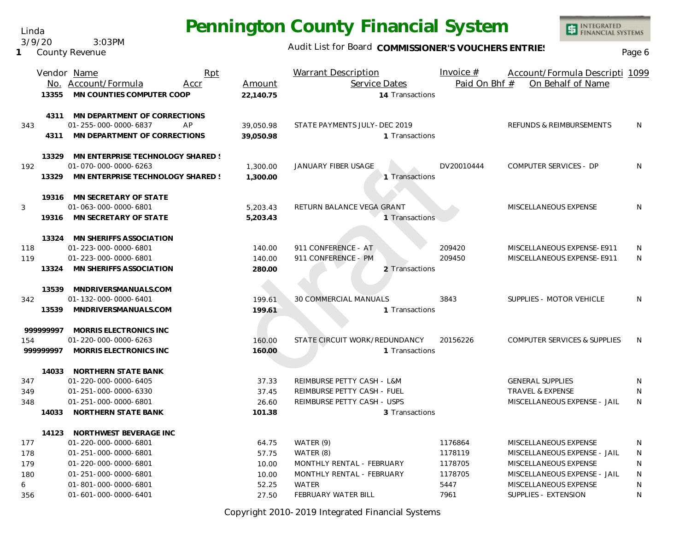Linda 3/9/20 3:03PM

**1** County Revenue

### Audit List for Board COMMISSIONER'S VOUCHERS ENTRIES

|     |           | Vendor Name<br>Rpt                |           | <b>Warrant Description</b>    | Invoice $#$   | Account/Formula Descripti 1099          |           |
|-----|-----------|-----------------------------------|-----------|-------------------------------|---------------|-----------------------------------------|-----------|
|     |           | No. Account/Formula<br>Accr       | Amount    | Service Dates                 | Paid On Bhf # | On Behalf of Name                       |           |
|     | 13355     | MN COUNTIES COMPUTER COOP         | 22.140.75 | 14 Transactions               |               |                                         |           |
|     | 4311      | MN DEPARTMENT OF CORRECTIONS      |           |                               |               |                                         |           |
| 343 |           | 01-255-000-0000-6837<br>AP        | 39,050.98 | STATE PAYMENTS JULY-DEC 2019  |               | REFUNDS & REIMBURSEMENTS                | N         |
|     | 4311      | MN DEPARTMENT OF CORRECTIONS      | 39.050.98 | 1 Transactions                |               |                                         |           |
|     | 13329     | MN ENTERPRISE TECHNOLOGY SHARED ! |           |                               |               |                                         |           |
| 192 |           | 01-070-000-0000-6263              | 1,300.00  | JANUARY FIBER USAGE           | DV20010444    | COMPUTER SERVICES - DP                  | N         |
|     | 13329     | MN ENTERPRISE TECHNOLOGY SHARED ! | 1,300.00  | 1 Transactions                |               |                                         |           |
|     | 19316     | MN SECRETARY OF STATE             |           |                               |               |                                         |           |
| 3   |           | 01-063-000-0000-6801              | 5,203.43  | RETURN BALANCE VEGA GRANT     |               | MISCELLANEOUS EXPENSE                   | N         |
|     | 19316     | MN SECRETARY OF STATE             | 5,203.43  | 1 Transactions                |               |                                         |           |
|     | 13324     | MN SHERIFFS ASSOCIATION           |           |                               |               |                                         |           |
| 118 |           | 01-223-000-0000-6801              | 140.00    | 911 CONFERENCE - AT           | 209420        | MISCELLANEOUS EXPENSE-E911              | N         |
| 119 |           | 01-223-000-0000-6801              | 140.00    | 911 CONFERENCE - PM           | 209450        | MISCELLANEOUS EXPENSE-E911              | N         |
|     | 13324     | MN SHERIFFS ASSOCIATION           | 280.00    | 2 Transactions                |               |                                         |           |
|     | 13539     | MNDRIVERSMANUALS.COM              |           |                               |               |                                         |           |
| 342 |           | 01-132-000-0000-6401              | 199.61    | 30 COMMERCIAL MANUALS         | 3843          | SUPPLIES - MOTOR VEHICLE                | N         |
|     | 13539     | MNDRIVERSMANUALS.COM              | 199.61    | 1 Transactions                |               |                                         |           |
|     | 999999997 | MORRIS ELECTRONICS INC            |           |                               |               |                                         |           |
| 154 |           | 01-220-000-0000-6263              | 160.00    | STATE CIRCUIT WORK/REDUNDANCY | 20156226      | <b>COMPUTER SERVICES &amp; SUPPLIES</b> | N         |
|     | 999999997 | MORRIS ELECTRONICS INC            | 160.00    | 1 Transactions                |               |                                         |           |
|     | 14033     | NORTHERN STATE BANK               |           |                               |               |                                         |           |
| 347 |           | 01-220-000-0000-6405              | 37.33     | REIMBURSE PETTY CASH - L&M    |               | <b>GENERAL SUPPLIES</b>                 | N         |
| 349 |           | 01-251-000-0000-6330              | 37.45     | REIMBURSE PETTY CASH - FUEL   |               | <b>TRAVEL &amp; EXPENSE</b>             | N         |
| 348 |           | 01-251-000-0000-6801              | 26.60     | REIMBURSE PETTY CASH - USPS   |               | MISCELLANEOUS EXPENSE - JAIL            | N         |
|     | 14033     | NORTHERN STATE BANK               | 101.38    | 3 Transactions                |               |                                         |           |
|     |           | 14123 NORTHWEST BEVERAGE INC      |           |                               |               |                                         |           |
| 177 |           | 01-220-000-0000-6801              | 64.75     | WATER (9)                     | 1176864       | MISCELLANEOUS EXPENSE                   | N         |
| 178 |           | 01-251-000-0000-6801              | 57.75     | WATER (8)                     | 1178119       | MISCELLANEOUS EXPENSE - JAIL            | N         |
| 179 |           | 01-220-000-0000-6801              | 10.00     | MONTHLY RENTAL - FEBRUARY     | 1178705       | MISCELLANEOUS EXPENSE                   | N         |
| 180 |           | 01-251-000-0000-6801              | 10.00     | MONTHLY RENTAL - FEBRUARY     | 1178705       | MISCELLANEOUS EXPENSE - JAIL            | ${\sf N}$ |
| 6   |           | 01-801-000-0000-6801              | 52.25     | <b>WATER</b>                  | 5447          | MISCELLANEOUS EXPENSE                   | N         |
| 356 |           | 01-601-000-0000-6401              | 27.50     | FEBRUARY WATER BILL           | 7961          | SUPPLIES - EXTENSION                    | N         |

Copyright 2010-2019 Integrated Financial Systems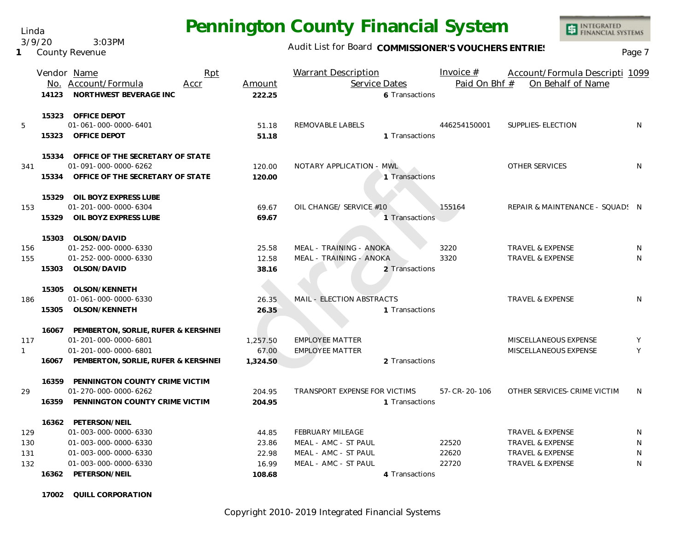Linda

3/9/20 3:03PM

#### **1** County Revenue

#### Audit List for Board COMMISSIONER'S VOUCHERS ENTRIES<br>Page 7

|              |       | Vendor Name                               | Rpt  |          | Warrant Description           | Invoice $#$   | Account/Formula Descripti 1099  |   |
|--------------|-------|-------------------------------------------|------|----------|-------------------------------|---------------|---------------------------------|---|
|              |       | No. Account/Formula                       | Accr | Amount   | Service Dates                 | Paid On Bhf # | On Behalf of Name               |   |
|              | 14123 | NORTHWEST BEVERAGE INC                    |      | 222.25   | 6 Transactions                |               |                                 |   |
|              |       | 15323 OFFICE DEPOT                        |      |          |                               |               |                                 |   |
| 5            |       | 01-061-000-0000-6401                      |      | 51.18    | REMOVABLE LABELS              | 446254150001  | SUPPLIES-ELECTION               | N |
|              | 15323 | OFFICE DEPOT                              |      | 51.18    | 1 Transactions                |               |                                 |   |
|              |       | 15334 OFFICE OF THE SECRETARY OF STATE    |      |          |                               |               |                                 |   |
| 341          |       | 01-091-000-0000-6262                      |      | 120.00   | NOTARY APPLICATION - MWL      |               | OTHER SERVICES                  | N |
|              | 15334 | OFFICE OF THE SECRETARY OF STATE          |      | 120.00   | 1 Transactions                |               |                                 |   |
|              | 15329 | OIL BOYZ EXPRESS LUBE                     |      |          |                               |               |                                 |   |
| 153          |       | 01-201-000-0000-6304                      |      | 69.67    | OIL CHANGE/ SERVICE #10       | 155164        | REPAIR & MAINTENANCE - SQUAD! N |   |
|              | 15329 | OIL BOYZ EXPRESS LUBE                     |      | 69.67    | 1 Transactions                |               |                                 |   |
|              |       | 15303 OLSON/DAVID                         |      |          |                               |               |                                 |   |
| 156          |       | 01-252-000-0000-6330                      |      | 25.58    | MEAL - TRAINING - ANOKA       | 3220          | <b>TRAVEL &amp; EXPENSE</b>     | N |
| 155          |       | 01-252-000-0000-6330                      |      | 12.58    | MEAL - TRAINING - ANOKA       | 3320          | <b>TRAVEL &amp; EXPENSE</b>     | N |
|              | 15303 | OLSON/DAVID                               |      | 38.16    | 2 Transactions                |               |                                 |   |
|              | 15305 | OLSON/KENNETH                             |      |          |                               |               |                                 |   |
| 186          |       | 01-061-000-0000-6330                      |      | 26.35    | MAIL - ELECTION ABSTRACTS     |               | <b>TRAVEL &amp; EXPENSE</b>     | N |
|              | 15305 | OLSON/KENNETH                             |      | 26.35    | 1 Transactions                |               |                                 |   |
|              |       | 16067 PEMBERTON, SORLIE, RUFER & KERSHNEI |      |          |                               |               |                                 |   |
| 117          |       | 01-201-000-0000-6801                      |      | 1,257.50 | <b>EMPLOYEE MATTER</b>        |               | MISCELLANEOUS EXPENSE           | Y |
| $\mathbf{1}$ |       | 01-201-000-0000-6801                      |      | 67.00    | <b>EMPLOYEE MATTER</b>        |               | MISCELLANEOUS EXPENSE           | Y |
|              |       | 16067 PEMBERTON, SORLIE, RUFER & KERSHNEI |      | 1,324.50 | 2 Transactions                |               |                                 |   |
|              |       | 16359 PENNINGTON COUNTY CRIME VICTIM      |      |          |                               |               |                                 |   |
| 29           |       | 01-270-000-0000-6262                      |      | 204.95   | TRANSPORT EXPENSE FOR VICTIMS | 57-CR-20-106  | OTHER SERVICES-CRIME VICTIM     | N |
|              |       | 16359 PENNINGTON COUNTY CRIME VICTIM      |      | 204.95   | 1 Transactions                |               |                                 |   |
|              |       | 16362 PETERSON/NEIL                       |      |          |                               |               |                                 |   |
| 129          |       | 01-003-000-0000-6330                      |      | 44.85    | <b>FEBRUARY MILEAGE</b>       |               | TRAVEL & EXPENSE                | N |
| 130          |       | 01-003-000-0000-6330                      |      | 23.86    | MEAL - AMC - ST PAUL          | 22520         | TRAVEL & EXPENSE                | N |
| 131          |       | 01-003-000-0000-6330                      |      | 22.98    | MEAL - AMC - ST PAUL          | 22620         | <b>TRAVEL &amp; EXPENSE</b>     | N |
| 132          |       | 01-003-000-0000-6330                      |      | 16.99    | MEAL - AMC - ST PAUL          | 22720         | <b>TRAVEL &amp; EXPENSE</b>     | N |
|              |       | 16362 PETERSON/NEIL                       |      | 108.68   | 4 Transactions                |               |                                 |   |

**17002 QUILL CORPORATION**

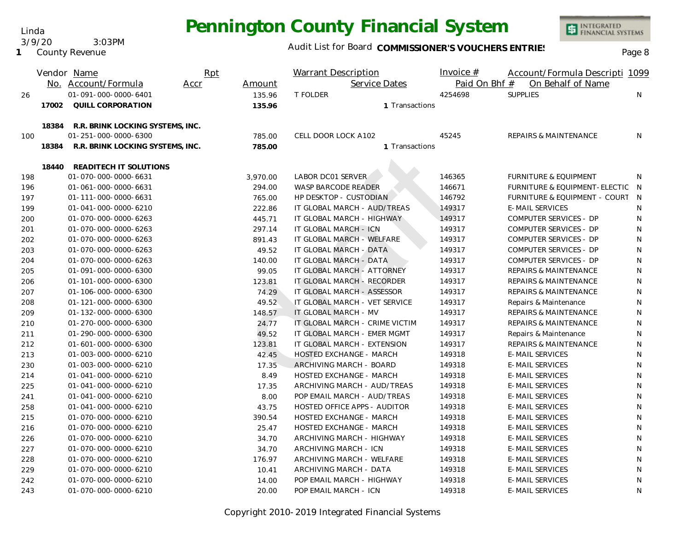Audit List for Board COMMISSIONER'S VOUCHERS ENTRIES

INTEGRATED<br>FINANCIAL SYSTEMS

| Linda                    |        | <u>r ormanigton obdiny i manoic</u> |
|--------------------------|--------|-------------------------------------|
| 3/9/20<br>County Revenue | 3:03PM | Audit List for Board COMMISSION     |
|                          |        | $\mathbf{u}$                        |

Linda

|     |       | Vendor Name                      | Rpt  |          | <b>Warrant Description</b>     | Invoice $#$   | Account/Formula Descripti 1099   |     |
|-----|-------|----------------------------------|------|----------|--------------------------------|---------------|----------------------------------|-----|
|     |       | No. Account/Formula              | Accr | Amount   | Service Dates                  | Paid On Bhf # | On Behalf of Name                |     |
| 26  |       | 01-091-000-0000-6401             |      | 135.96   | <b>T FOLDER</b>                | 4254698       | <b>SUPPLIES</b>                  | N   |
|     | 17002 | QUILL CORPORATION                |      | 135.96   | 1 Transactions                 |               |                                  |     |
|     | 18384 | R.R. BRINK LOCKING SYSTEMS, INC. |      |          |                                |               |                                  |     |
| 100 |       | 01-251-000-0000-6300             |      | 785.00   | CELL DOOR LOCK A102            | 45245         | <b>REPAIRS &amp; MAINTENANCE</b> | N   |
|     | 18384 | R.R. BRINK LOCKING SYSTEMS, INC. |      | 785.00   | 1 Transactions                 |               |                                  |     |
|     | 18440 | READITECH IT SOLUTIONS           |      |          |                                |               |                                  |     |
| 198 |       | 01-070-000-0000-6631             |      | 3,970.00 | LABOR DC01 SERVER              | 146365        | <b>FURNITURE &amp; EQUIPMENT</b> | N   |
| 196 |       | 01-061-000-0000-6631             |      | 294.00   | <b>WASP BARCODE READER</b>     | 146671        | FURNITURE & EQUIPMENT-ELECTIC    | - N |
| 197 |       | 01-111-000-0000-6631             |      | 765.00   | HP DESKTOP - CUSTODIAN         | 146792        | FURNITURE & EQUIPMENT - COURT    | N   |
| 199 |       | 01-041-000-0000-6210             |      | 222.86   | IT GLOBAL MARCH - AUD/TREAS    | 149317        | <b>E-MAIL SERVICES</b>           | N   |
| 200 |       | 01-070-000-0000-6263             |      | 445.71   | IT GLOBAL MARCH - HIGHWAY      | 149317        | COMPUTER SERVICES - DP           | N   |
| 201 |       | 01-070-000-0000-6263             |      | 297.14   | IT GLOBAL MARCH - ICN          | 149317        | COMPUTER SERVICES - DP           | N   |
| 202 |       | 01-070-000-0000-6263             |      | 891.43   | IT GLOBAL MARCH - WELFARE      | 149317        | COMPUTER SERVICES - DP           | N   |
| 203 |       | 01-070-000-0000-6263             |      | 49.52    | IT GLOBAL MARCH - DATA         | 149317        | COMPUTER SERVICES - DP           | N   |
| 204 |       | 01-070-000-0000-6263             |      | 140.00   | IT GLOBAL MARCH - DATA         | 149317        | COMPUTER SERVICES - DP           | N   |
| 205 |       | 01-091-000-0000-6300             |      | 99.05    | IT GLOBAL MARCH - ATTORNEY     | 149317        | <b>REPAIRS &amp; MAINTENANCE</b> | N   |
| 206 |       | 01-101-000-0000-6300             |      | 123.81   | IT GLOBAL MARCH - RECORDER     | 149317        | REPAIRS & MAINTENANCE            | N   |
| 207 |       | 01-106-000-0000-6300             |      | 74.29    | IT GLOBAL MARCH - ASSESSOR     | 149317        | REPAIRS & MAINTENANCE            | N   |
| 208 |       | 01-121-000-0000-6300             |      | 49.52    | IT GLOBAL MARCH - VET SERVICE  | 149317        | Repairs & Maintenance            | N   |
| 209 |       | 01-132-000-0000-6300             |      | 148.57   | IT GLOBAL MARCH - MV           | 149317        | <b>REPAIRS &amp; MAINTENANCE</b> | N   |
| 210 |       | 01-270-000-0000-6300             |      | 24.77    | IT GLOBAL MARCH - CRIME VICTIM | 149317        | REPAIRS & MAINTENANCE            | N   |
| 211 |       | 01-290-000-0000-6300             |      | 49.52    | IT GLOBAL MARCH - EMER MGMT    | 149317        | Repairs & Maintenance            | N   |
| 212 |       | 01-601-000-0000-6300             |      | 123.81   | IT GLOBAL MARCH - EXTENSION    | 149317        | REPAIRS & MAINTENANCE            | N   |
| 213 |       | 01-003-000-0000-6210             |      | 42.45    | HOSTED EXCHANGE - MARCH        | 149318        | <b>E-MAIL SERVICES</b>           | N   |
| 230 |       | 01-003-000-0000-6210             |      | 17.35    | ARCHIVING MARCH - BOARD        | 149318        | <b>E-MAIL SERVICES</b>           | N   |
| 214 |       | 01-041-000-0000-6210             |      | 8.49     | HOSTED EXCHANGE - MARCH        | 149318        | <b>E-MAIL SERVICES</b>           | N   |
| 225 |       | 01-041-000-0000-6210             |      | 17.35    | ARCHIVING MARCH - AUD/TREAS    | 149318        | <b>E-MAIL SERVICES</b>           | N   |
| 241 |       | 01-041-000-0000-6210             |      | 8.00     | POP EMAIL MARCH - AUD/TREAS    | 149318        | <b>E-MAIL SERVICES</b>           | N   |
| 258 |       | 01-041-000-0000-6210             |      | 43.75    | HOSTED OFFICE APPS - AUDITOR   | 149318        | <b>E-MAIL SERVICES</b>           | N   |
| 215 |       | 01-070-000-0000-6210             |      | 390.54   | HOSTED EXCHANGE - MARCH        | 149318        | <b>E-MAIL SERVICES</b>           | N   |
| 216 |       | 01-070-000-0000-6210             |      | 25.47    | HOSTED EXCHANGE - MARCH        | 149318        | <b>E-MAIL SERVICES</b>           | N   |
| 226 |       | 01-070-000-0000-6210             |      | 34.70    | ARCHIVING MARCH - HIGHWAY      | 149318        | <b>E-MAIL SERVICES</b>           | N   |
| 227 |       | 01-070-000-0000-6210             |      | 34.70    | <b>ARCHIVING MARCH - ICN</b>   | 149318        | <b>E-MAIL SERVICES</b>           | N   |
| 228 |       | 01-070-000-0000-6210             |      | 176.97   | ARCHIVING MARCH - WELFARE      | 149318        | <b>E-MAIL SERVICES</b>           | N   |
| 229 |       | 01-070-000-0000-6210             |      | 10.41    | ARCHIVING MARCH - DATA         | 149318        | <b>E-MAIL SERVICES</b>           | N   |
| 242 |       | 01-070-000-0000-6210             |      | 14.00    | POP EMAIL MARCH - HIGHWAY      | 149318        | <b>E-MAIL SERVICES</b>           | N   |
| 243 |       | 01-070-000-0000-6210             |      | 20.00    | POP EMAIL MARCH - ICN          | 149318        | <b>E-MAIL SERVICES</b>           | N   |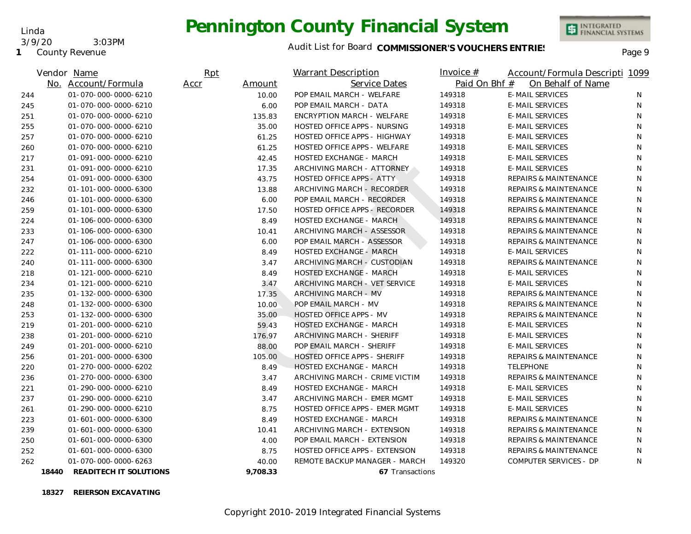**1** County Revenue 3/9/20 3:03PM

Linda

### Audit List for Board COMMISSIONER'S VOUCHERS ENTRIES<br>Page 9

|     | Vendor Name                     | Rpt            |          | Warrant Description              | <u>Invoice <math>#</math></u> | Account/Formula Descripti 1099   |    |
|-----|---------------------------------|----------------|----------|----------------------------------|-------------------------------|----------------------------------|----|
|     | No. Account/Formula             | Accr<br>Amount |          | Service Dates                    | Paid On Bhf #                 | On Behalf of Name                |    |
| 244 | 01-070-000-0000-6210            |                | 10.00    | POP EMAIL MARCH - WELFARE        | 149318                        | <b>E-MAIL SERVICES</b>           | N. |
| 245 | 01-070-000-0000-6210            |                | 6.00     | POP EMAIL MARCH - DATA           | 149318                        | <b>E-MAIL SERVICES</b>           | N  |
| 251 | 01-070-000-0000-6210            |                | 135.83   | ENCRYPTION MARCH - WELFARE       | 149318                        | <b>E-MAIL SERVICES</b>           | N  |
| 255 | 01-070-000-0000-6210            |                | 35.00    | HOSTED OFFICE APPS - NURSING     | 149318                        | E-MAIL SERVICES                  | N  |
| 257 | 01-070-000-0000-6210            |                | 61.25    | HOSTED OFFICE APPS - HIGHWAY     | 149318                        | <b>E-MAIL SERVICES</b>           | N  |
| 260 | 01-070-000-0000-6210            |                | 61.25    | HOSTED OFFICE APPS - WELFARE     | 149318                        | <b>E-MAIL SERVICES</b>           | N  |
| 217 | 01-091-000-0000-6210            |                | 42.45    | <b>HOSTED EXCHANGE - MARCH</b>   | 149318                        | <b>E-MAIL SERVICES</b>           | N. |
| 231 | 01-091-000-0000-6210            |                | 17.35    | ARCHIVING MARCH - ATTORNEY       | 149318                        | <b>E-MAIL SERVICES</b>           | N  |
| 254 | 01-091-000-0000-6300            |                | 43.75    | <b>HOSTED OFFICE APPS - ATTY</b> | 149318                        | <b>REPAIRS &amp; MAINTENANCE</b> | N  |
| 232 | 01-101-000-0000-6300            |                | 13.88    | ARCHIVING MARCH - RECORDER       | 149318                        | REPAIRS & MAINTENANCE            | N  |
| 246 | 01-101-000-0000-6300            |                | 6.00     | POP EMAIL MARCH - RECORDER       | 149318                        | <b>REPAIRS &amp; MAINTENANCE</b> | N  |
| 259 | 01-101-000-0000-6300            |                | 17.50    | HOSTED OFFICE APPS - RECORDER    | 149318                        | <b>REPAIRS &amp; MAINTENANCE</b> | N  |
| 224 | 01-106-000-0000-6300            |                | 8.49     | HOSTED EXCHANGE - MARCH          | 149318                        | REPAIRS & MAINTENANCE            | N  |
| 233 | 01-106-000-0000-6300            |                | 10.41    | ARCHIVING MARCH - ASSESSOR       | 149318                        | REPAIRS & MAINTENANCE            | N. |
| 247 | 01-106-000-0000-6300            |                | 6.00     | POP EMAIL MARCH - ASSESSOR       | 149318                        | <b>REPAIRS &amp; MAINTENANCE</b> | N  |
| 222 | 01-111-000-0000-6210            |                | 8.49     | <b>HOSTED EXCHANGE - MARCH</b>   | 149318                        | <b>E-MAIL SERVICES</b>           | N  |
| 240 | 01-111-000-0000-6300            |                | 3.47     | ARCHIVING MARCH - CUSTODIAN      | 149318                        | REPAIRS & MAINTENANCE            | N. |
| 218 | 01-121-000-0000-6210            |                | 8.49     | <b>HOSTED EXCHANGE - MARCH</b>   | 149318                        | <b>E-MAIL SERVICES</b>           | N  |
| 234 | 01-121-000-0000-6210            |                | 3.47     | ARCHIVING MARCH - VET SERVICE    | 149318                        | <b>E-MAIL SERVICES</b>           | N  |
| 235 | 01-132-000-0000-6300            |                | 17.35    | ARCHIVING MARCH - MV             | 149318                        | REPAIRS & MAINTENANCE            | N. |
| 248 | 01-132-000-0000-6300            |                | 10.00    | POP EMAIL MARCH - MV             | 149318                        | <b>REPAIRS &amp; MAINTENANCE</b> | N  |
| 253 | 01-132-000-0000-6300            |                | 35.00    | HOSTED OFFICE APPS - MV          | 149318                        | <b>REPAIRS &amp; MAINTENANCE</b> | N  |
| 219 | 01-201-000-0000-6210            |                | 59.43    | <b>HOSTED EXCHANGE - MARCH</b>   | 149318                        | <b>E-MAIL SERVICES</b>           | N  |
| 238 | 01-201-000-0000-6210            |                | 176.97   | ARCHIVING MARCH - SHERIFF        | 149318                        | E-MAIL SERVICES                  | N. |
| 249 | 01-201-000-0000-6210            |                | 88.00    | POP EMAIL MARCH - SHERIFF        | 149318                        | <b>E-MAIL SERVICES</b>           | N  |
| 256 | 01-201-000-0000-6300            |                | 105.00   | HOSTED OFFICE APPS - SHERIFF     | 149318                        | REPAIRS & MAINTENANCE            | N  |
| 220 | 01-270-000-0000-6202            |                | 8.49     | <b>HOSTED EXCHANGE - MARCH</b>   | 149318                        | <b>TELEPHONE</b>                 | N. |
| 236 | 01-270-000-0000-6300            |                | 3.47     | ARCHIVING MARCH - CRIME VICTIM   | 149318                        | <b>REPAIRS &amp; MAINTENANCE</b> | N  |
| 221 | 01-290-000-0000-6210            |                | 8.49     | <b>HOSTED EXCHANGE - MARCH</b>   | 149318                        | <b>E-MAIL SERVICES</b>           | N  |
| 237 | 01-290-000-0000-6210            |                | 3.47     | ARCHIVING MARCH - EMER MGMT      | 149318                        | <b>E-MAIL SERVICES</b>           | N. |
| 261 | 01-290-000-0000-6210            |                | 8.75     | HOSTED OFFICE APPS - EMER MGMT   | 149318                        | <b>E-MAIL SERVICES</b>           | N  |
| 223 | 01-601-000-0000-6300            |                | 8.49     | <b>HOSTED EXCHANGE - MARCH</b>   | 149318                        | <b>REPAIRS &amp; MAINTENANCE</b> | N  |
| 239 | 01-601-000-0000-6300            |                | 10.41    | ARCHIVING MARCH - EXTENSION      | 149318                        | REPAIRS & MAINTENANCE            | N  |
| 250 | 01-601-000-0000-6300            |                | 4.00     | POP EMAIL MARCH - EXTENSION      | 149318                        | REPAIRS & MAINTENANCE            | N. |
| 252 | 01-601-000-0000-6300            |                | 8.75     | HOSTED OFFICE APPS - EXTENSION   | 149318                        | REPAIRS & MAINTENANCE            | N  |
| 262 | 01-070-000-0000-6263            |                | 40.00    | REMOTE BACKUP MANAGER - MARCH    | 149320                        | COMPUTER SERVICES - DP           | N  |
|     | READITECH IT SOLUTIONS<br>18440 |                | 9.708.33 | 67 Transactions                  |                               |                                  |    |

**18327 REIERSON EXCAVATING**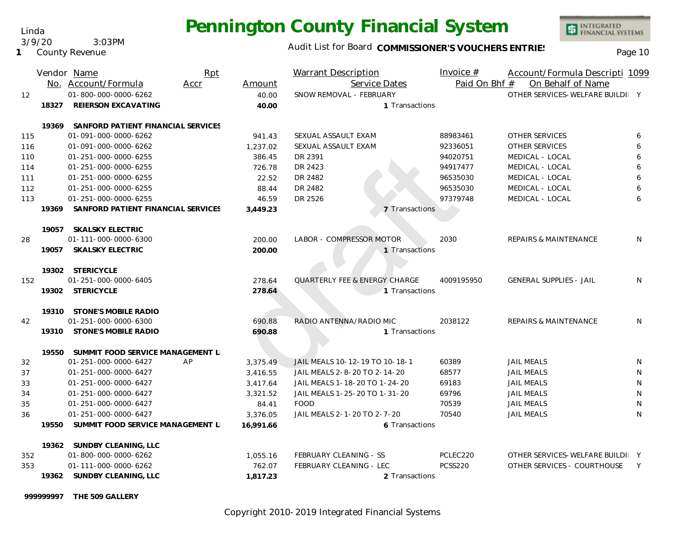Linda 3/9/20 3:03PM

**1** County Revenue

#### Audit List for Board COMMISSIONER'S VOUCHERS ENTRIES<br>Page 10

|     |       | Vendor Name                        | Rpt  |           | <b>Warrant Description</b>               | Invoice $#$    | Account/Formula Descripti 1099   |   |
|-----|-------|------------------------------------|------|-----------|------------------------------------------|----------------|----------------------------------|---|
|     |       | No. Account/Formula                | Accr | Amount    | Service Dates                            | Paid On Bhf #  | On Behalf of Name                |   |
| 12  |       | 01-800-000-0000-6262               |      | 40.00     | SNOW REMOVAL - FEBRUARY                  |                | OTHER SERVICES-WELFARE BUILDI Y  |   |
|     | 18327 | <b>REIERSON EXCAVATING</b>         |      | 40.00     | 1 Transactions                           |                |                                  |   |
|     | 19369 | SANFORD PATIENT FINANCIAL SERVICES |      |           |                                          |                |                                  |   |
| 115 |       | 01-091-000-0000-6262               |      | 941.43    | SEXUAL ASSAULT EXAM                      | 88983461       | OTHER SERVICES                   | 6 |
| 116 |       | 01-091-000-0000-6262               |      | 1,237.02  | SEXUAL ASSAULT EXAM                      | 92336051       | <b>OTHER SERVICES</b>            | 6 |
| 110 |       | 01-251-000-0000-6255               |      | 386.45    | DR 2391                                  | 94020751       | MEDICAL - LOCAL                  | 6 |
| 114 |       | 01-251-000-0000-6255               |      | 726.78    | DR 2423                                  | 94917477       | MEDICAL - LOCAL                  | 6 |
| 111 |       | 01-251-000-0000-6255               |      | 22.52     | DR 2482                                  | 96535030       | MEDICAL - LOCAL                  | 6 |
| 112 |       | 01-251-000-0000-6255               |      | 88.44     | DR 2482                                  | 96535030       | MEDICAL - LOCAL                  | 6 |
| 113 |       | 01-251-000-0000-6255               |      | 46.59     | DR 2526                                  | 97379748       | MEDICAL - LOCAL                  | 6 |
|     | 19369 | SANFORD PATIENT FINANCIAL SERVICES |      | 3,449.23  | 7 Transactions                           |                |                                  |   |
|     |       |                                    |      |           |                                          |                |                                  |   |
|     |       | 19057 SKALSKY ELECTRIC             |      |           |                                          |                |                                  |   |
| 28  |       | 01-111-000-0000-6300               |      | 200.00    | LABOR - COMPRESSOR MOTOR                 | 2030           | <b>REPAIRS &amp; MAINTENANCE</b> | N |
|     | 19057 | SKALSKY ELECTRIC                   |      | 200.00    | 1 Transactions                           |                |                                  |   |
|     |       | 19302 STERICYCLE                   |      |           |                                          |                |                                  |   |
| 152 |       | 01-251-000-0000-6405               |      | 278.64    | <b>QUARTERLY FEE &amp; ENERGY CHARGE</b> | 4009195950     | <b>GENERAL SUPPLIES - JAIL</b>   | N |
|     | 19302 | STERICYCLE                         |      | 278.64    | 1 Transactions                           |                |                                  |   |
|     |       |                                    |      |           |                                          |                |                                  |   |
|     |       | 19310 STONE'S MOBILE RADIO         |      |           |                                          |                |                                  |   |
| 42  |       | 01-251-000-0000-6300               |      | 690.88    | RADIO ANTENNA/RADIO MIC                  | 2038122        | REPAIRS & MAINTENANCE            | N |
|     |       | 19310 STONE'S MOBILE RADIO         |      | 690.88    | 1 Transactions                           |                |                                  |   |
|     | 19550 | SUMMIT FOOD SERVICE MANAGEMENT L   |      |           |                                          |                |                                  |   |
| 32  |       | 01-251-000-0000-6427               | AP   | 3,375.49  | JAIL MEALS 10-12-19 TO 10-18-1           | 60389          | <b>JAIL MEALS</b>                | N |
| 37  |       | 01-251-000-0000-6427               |      | 3.416.55  | JAIL MEALS 2-8-20 TO 2-14-20             | 68577          | <b>JAIL MEALS</b>                | N |
| 33  |       | 01-251-000-0000-6427               |      | 3,417.64  | JAIL MEALS 1-18-20 TO 1-24-20            | 69183          | <b>JAIL MEALS</b>                | N |
| 34  |       | 01-251-000-0000-6427               |      | 3,321.52  | JAIL MEALS 1-25-20 TO 1-31-20            | 69796          | <b>JAIL MEALS</b>                | N |
| 35  |       | 01-251-000-0000-6427               |      | 84.41     | <b>FOOD</b>                              | 70539          | <b>JAIL MEALS</b>                | N |
| 36  |       | 01-251-000-0000-6427               |      | 3,376.05  | JAIL MEALS 2-1-20 TO 2-7-20              | 70540          | <b>JAIL MEALS</b>                | N |
|     | 19550 | SUMMIT FOOD SERVICE MANAGEMENT L   |      | 16,991.66 | 6 Transactions                           |                |                                  |   |
|     |       | 19362 SUNDBY CLEANING, LLC         |      |           |                                          |                |                                  |   |
| 352 |       | 01-800-000-0000-6262               |      | 1,055.16  | FEBRUARY CLEANING - SS                   | PCLEC220       | OTHER SERVICES-WELFARE BUILDI Y  |   |
| 353 |       | 01-111-000-0000-6262               |      | 762.07    | FEBRUARY CLEANING - LEC                  | <b>PCSS220</b> | OTHER SERVICES - COURTHOUSE      | Y |
|     |       | 19362 SUNDBY CLEANING, LLC         |      | 1,817.23  | 2 Transactions                           |                |                                  |   |
|     |       |                                    |      |           |                                          |                |                                  |   |

**999999997 THE 509 GALLERY**

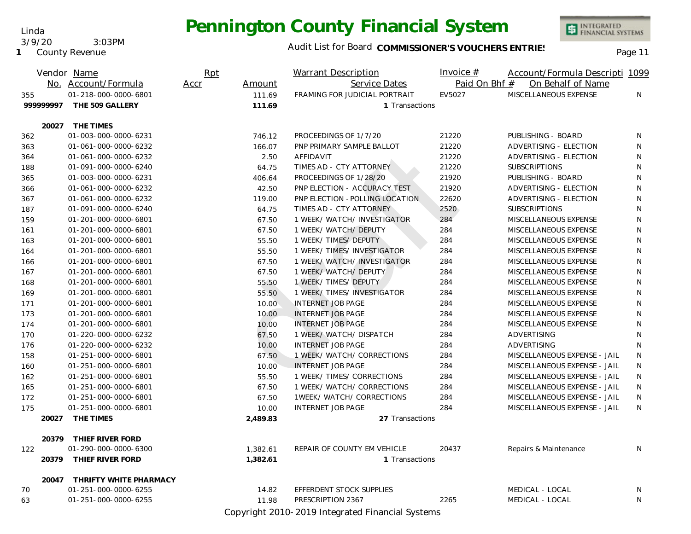#### Audit List for Board COMMISSIONER'S VOUCHERS ENTRIES<br>Page 11

| No. Account/Formula<br>Service Dates<br>Paid On Bhf #<br>On Behalf of Name<br>Accr<br>Amount<br>01-218-000-0000-6801<br>FRAMING FOR JUDICIAL PORTRAIT<br>EV5027<br>MISCELLANEOUS EXPENSE<br>111.69<br>N.<br>355<br>99999997<br>THE 509 GALLERY<br>111.69<br>1 Transactions<br>20027 THE TIMES<br>01-003-000-0000-6231<br>746.12<br>PROCEEDINGS OF 1/7/20<br>21220<br>PUBLISHING - BOARD<br>362<br>N<br>PNP PRIMARY SAMPLE BALLOT<br>21220<br>ADVERTISING - ELECTION<br>01-061-000-0000-6232<br>166.07<br>N<br>363<br>AFFIDAVIT<br>21220<br>ADVERTISING - ELECTION<br>01-061-000-0000-6232<br>2.50<br>N<br>364<br>TIMES AD - CTY ATTORNEY<br>21220<br><b>SUBSCRIPTIONS</b><br>01-091-000-0000-6240<br>64.75<br>N<br>188<br>PROCEEDINGS OF 1/28/20<br>21920<br>PUBLISHING - BOARD<br>N<br>01-003-000-0000-6231<br>406.64<br>365<br>01-061-000-0000-6232<br>PNP ELECTION - ACCURACY TEST<br>21920<br>ADVERTISING - ELECTION<br>N<br>42.50<br>366<br>22620<br>01-061-000-0000-6232<br>PNP ELECTION - POLLING LOCATION<br>ADVERTISING - ELECTION<br>N<br>119.00<br>367<br>2520<br>01-091-000-0000-6240<br>64.75<br>TIMES AD - CTY ATTORNEY<br><b>SUBSCRIPTIONS</b><br>N<br>187<br>1 WEEK/ WATCH/ INVESTIGATOR<br>284<br>N<br>01-201-000-0000-6801<br>67.50<br>MISCELLANEOUS EXPENSE<br>159<br>01-201-000-0000-6801<br>67.50<br>1 WEEK/ WATCH/ DEPUTY<br>284<br>MISCELLANEOUS EXPENSE<br>N<br>161<br>01-201-000-0000-6801<br>55.50<br>1 WEEK/ TIMES/ DEPUTY<br>284<br>MISCELLANEOUS EXPENSE<br>N<br>163<br>N<br>01-201-000-0000-6801<br>55.50<br>1 WEEK/ TIMES/ INVESTIGATOR<br>284<br>MISCELLANEOUS EXPENSE<br>164<br>1 WEEK/ WATCH/ INVESTIGATOR<br>N<br>01-201-000-0000-6801<br>67.50<br>284<br>MISCELLANEOUS EXPENSE<br>166<br>1 WEEK/ WATCH/ DEPUTY<br>N<br>01-201-000-0000-6801<br>67.50<br>284<br>MISCELLANEOUS EXPENSE<br>167<br>N<br>01-201-000-0000-6801<br>55.50<br>1 WEEK/ TIMES/ DEPUTY<br>284<br>MISCELLANEOUS EXPENSE<br>168<br>55.50<br>01-201-000-0000-6801<br>1 WEEK/ TIMES/ INVESTIGATOR<br>284<br>MISCELLANEOUS EXPENSE<br>N<br>169<br><b>INTERNET JOB PAGE</b><br>N<br>01-201-000-0000-6801<br>10.00<br>284<br>MISCELLANEOUS EXPENSE<br>171<br>01-201-000-0000-6801<br><b>INTERNET JOB PAGE</b><br>284<br>MISCELLANEOUS EXPENSE<br>N<br>173<br>10.00<br>284<br>01-201-000-0000-6801<br>10.00<br><b>INTERNET JOB PAGE</b><br>MISCELLANEOUS EXPENSE<br>N<br>174<br>67.50<br>1 WEEK/ WATCH/ DISPATCH<br>284<br>ADVERTISING<br>01-220-000-0000-6232<br>N<br>170<br>01-220-000-0000-6232<br>10.00<br><b>INTERNET JOB PAGE</b><br>284<br>ADVERTISING<br>N<br>176<br>01-251-000-0000-6801<br>67.50<br>1 WEEK/ WATCH/ CORRECTIONS<br>284<br>MISCELLANEOUS EXPENSE - JAIL<br>N<br>158<br>284<br>01-251-000-0000-6801<br>10.00<br><b>INTERNET JOB PAGE</b><br>MISCELLANEOUS EXPENSE - JAIL<br>N<br>160<br>1 WEEK/ TIMES/ CORRECTIONS<br>284<br>MISCELLANEOUS EXPENSE - JAIL<br>01-251-000-0000-6801<br>55.50<br>N<br>162<br>01-251-000-0000-6801<br>1 WEEK/ WATCH/ CORRECTIONS<br>284<br>MISCELLANEOUS EXPENSE - JAIL<br>165<br>67.50<br>N<br>01-251-000-0000-6801<br>67.50<br>1WEEK/WATCH/CORRECTIONS<br>284<br>MISCELLANEOUS EXPENSE - JAIL<br>172<br>N<br>175<br>01-251-000-0000-6801<br>10.00<br>INTERNET JOB PAGE<br>284<br>MISCELLANEOUS EXPENSE - JAIL<br>N<br>THE TIMES<br>20027<br>2,489.83<br>27 Transactions |
|------------------------------------------------------------------------------------------------------------------------------------------------------------------------------------------------------------------------------------------------------------------------------------------------------------------------------------------------------------------------------------------------------------------------------------------------------------------------------------------------------------------------------------------------------------------------------------------------------------------------------------------------------------------------------------------------------------------------------------------------------------------------------------------------------------------------------------------------------------------------------------------------------------------------------------------------------------------------------------------------------------------------------------------------------------------------------------------------------------------------------------------------------------------------------------------------------------------------------------------------------------------------------------------------------------------------------------------------------------------------------------------------------------------------------------------------------------------------------------------------------------------------------------------------------------------------------------------------------------------------------------------------------------------------------------------------------------------------------------------------------------------------------------------------------------------------------------------------------------------------------------------------------------------------------------------------------------------------------------------------------------------------------------------------------------------------------------------------------------------------------------------------------------------------------------------------------------------------------------------------------------------------------------------------------------------------------------------------------------------------------------------------------------------------------------------------------------------------------------------------------------------------------------------------------------------------------------------------------------------------------------------------------------------------------------------------------------------------------------------------------------------------------------------------------------------------------------------------------------------------------------------------------------------------------------------------------------------------------------------------------------------------------------------------------------------------------------------------------------------------------------------------------------------------------------------------------------------------------------------------------------------------------------------------------------------------------|
|                                                                                                                                                                                                                                                                                                                                                                                                                                                                                                                                                                                                                                                                                                                                                                                                                                                                                                                                                                                                                                                                                                                                                                                                                                                                                                                                                                                                                                                                                                                                                                                                                                                                                                                                                                                                                                                                                                                                                                                                                                                                                                                                                                                                                                                                                                                                                                                                                                                                                                                                                                                                                                                                                                                                                                                                                                                                                                                                                                                                                                                                                                                                                                                                                                                                                                                              |
|                                                                                                                                                                                                                                                                                                                                                                                                                                                                                                                                                                                                                                                                                                                                                                                                                                                                                                                                                                                                                                                                                                                                                                                                                                                                                                                                                                                                                                                                                                                                                                                                                                                                                                                                                                                                                                                                                                                                                                                                                                                                                                                                                                                                                                                                                                                                                                                                                                                                                                                                                                                                                                                                                                                                                                                                                                                                                                                                                                                                                                                                                                                                                                                                                                                                                                                              |
|                                                                                                                                                                                                                                                                                                                                                                                                                                                                                                                                                                                                                                                                                                                                                                                                                                                                                                                                                                                                                                                                                                                                                                                                                                                                                                                                                                                                                                                                                                                                                                                                                                                                                                                                                                                                                                                                                                                                                                                                                                                                                                                                                                                                                                                                                                                                                                                                                                                                                                                                                                                                                                                                                                                                                                                                                                                                                                                                                                                                                                                                                                                                                                                                                                                                                                                              |
|                                                                                                                                                                                                                                                                                                                                                                                                                                                                                                                                                                                                                                                                                                                                                                                                                                                                                                                                                                                                                                                                                                                                                                                                                                                                                                                                                                                                                                                                                                                                                                                                                                                                                                                                                                                                                                                                                                                                                                                                                                                                                                                                                                                                                                                                                                                                                                                                                                                                                                                                                                                                                                                                                                                                                                                                                                                                                                                                                                                                                                                                                                                                                                                                                                                                                                                              |
|                                                                                                                                                                                                                                                                                                                                                                                                                                                                                                                                                                                                                                                                                                                                                                                                                                                                                                                                                                                                                                                                                                                                                                                                                                                                                                                                                                                                                                                                                                                                                                                                                                                                                                                                                                                                                                                                                                                                                                                                                                                                                                                                                                                                                                                                                                                                                                                                                                                                                                                                                                                                                                                                                                                                                                                                                                                                                                                                                                                                                                                                                                                                                                                                                                                                                                                              |
|                                                                                                                                                                                                                                                                                                                                                                                                                                                                                                                                                                                                                                                                                                                                                                                                                                                                                                                                                                                                                                                                                                                                                                                                                                                                                                                                                                                                                                                                                                                                                                                                                                                                                                                                                                                                                                                                                                                                                                                                                                                                                                                                                                                                                                                                                                                                                                                                                                                                                                                                                                                                                                                                                                                                                                                                                                                                                                                                                                                                                                                                                                                                                                                                                                                                                                                              |
|                                                                                                                                                                                                                                                                                                                                                                                                                                                                                                                                                                                                                                                                                                                                                                                                                                                                                                                                                                                                                                                                                                                                                                                                                                                                                                                                                                                                                                                                                                                                                                                                                                                                                                                                                                                                                                                                                                                                                                                                                                                                                                                                                                                                                                                                                                                                                                                                                                                                                                                                                                                                                                                                                                                                                                                                                                                                                                                                                                                                                                                                                                                                                                                                                                                                                                                              |
|                                                                                                                                                                                                                                                                                                                                                                                                                                                                                                                                                                                                                                                                                                                                                                                                                                                                                                                                                                                                                                                                                                                                                                                                                                                                                                                                                                                                                                                                                                                                                                                                                                                                                                                                                                                                                                                                                                                                                                                                                                                                                                                                                                                                                                                                                                                                                                                                                                                                                                                                                                                                                                                                                                                                                                                                                                                                                                                                                                                                                                                                                                                                                                                                                                                                                                                              |
|                                                                                                                                                                                                                                                                                                                                                                                                                                                                                                                                                                                                                                                                                                                                                                                                                                                                                                                                                                                                                                                                                                                                                                                                                                                                                                                                                                                                                                                                                                                                                                                                                                                                                                                                                                                                                                                                                                                                                                                                                                                                                                                                                                                                                                                                                                                                                                                                                                                                                                                                                                                                                                                                                                                                                                                                                                                                                                                                                                                                                                                                                                                                                                                                                                                                                                                              |
|                                                                                                                                                                                                                                                                                                                                                                                                                                                                                                                                                                                                                                                                                                                                                                                                                                                                                                                                                                                                                                                                                                                                                                                                                                                                                                                                                                                                                                                                                                                                                                                                                                                                                                                                                                                                                                                                                                                                                                                                                                                                                                                                                                                                                                                                                                                                                                                                                                                                                                                                                                                                                                                                                                                                                                                                                                                                                                                                                                                                                                                                                                                                                                                                                                                                                                                              |
|                                                                                                                                                                                                                                                                                                                                                                                                                                                                                                                                                                                                                                                                                                                                                                                                                                                                                                                                                                                                                                                                                                                                                                                                                                                                                                                                                                                                                                                                                                                                                                                                                                                                                                                                                                                                                                                                                                                                                                                                                                                                                                                                                                                                                                                                                                                                                                                                                                                                                                                                                                                                                                                                                                                                                                                                                                                                                                                                                                                                                                                                                                                                                                                                                                                                                                                              |
|                                                                                                                                                                                                                                                                                                                                                                                                                                                                                                                                                                                                                                                                                                                                                                                                                                                                                                                                                                                                                                                                                                                                                                                                                                                                                                                                                                                                                                                                                                                                                                                                                                                                                                                                                                                                                                                                                                                                                                                                                                                                                                                                                                                                                                                                                                                                                                                                                                                                                                                                                                                                                                                                                                                                                                                                                                                                                                                                                                                                                                                                                                                                                                                                                                                                                                                              |
|                                                                                                                                                                                                                                                                                                                                                                                                                                                                                                                                                                                                                                                                                                                                                                                                                                                                                                                                                                                                                                                                                                                                                                                                                                                                                                                                                                                                                                                                                                                                                                                                                                                                                                                                                                                                                                                                                                                                                                                                                                                                                                                                                                                                                                                                                                                                                                                                                                                                                                                                                                                                                                                                                                                                                                                                                                                                                                                                                                                                                                                                                                                                                                                                                                                                                                                              |
|                                                                                                                                                                                                                                                                                                                                                                                                                                                                                                                                                                                                                                                                                                                                                                                                                                                                                                                                                                                                                                                                                                                                                                                                                                                                                                                                                                                                                                                                                                                                                                                                                                                                                                                                                                                                                                                                                                                                                                                                                                                                                                                                                                                                                                                                                                                                                                                                                                                                                                                                                                                                                                                                                                                                                                                                                                                                                                                                                                                                                                                                                                                                                                                                                                                                                                                              |
|                                                                                                                                                                                                                                                                                                                                                                                                                                                                                                                                                                                                                                                                                                                                                                                                                                                                                                                                                                                                                                                                                                                                                                                                                                                                                                                                                                                                                                                                                                                                                                                                                                                                                                                                                                                                                                                                                                                                                                                                                                                                                                                                                                                                                                                                                                                                                                                                                                                                                                                                                                                                                                                                                                                                                                                                                                                                                                                                                                                                                                                                                                                                                                                                                                                                                                                              |
|                                                                                                                                                                                                                                                                                                                                                                                                                                                                                                                                                                                                                                                                                                                                                                                                                                                                                                                                                                                                                                                                                                                                                                                                                                                                                                                                                                                                                                                                                                                                                                                                                                                                                                                                                                                                                                                                                                                                                                                                                                                                                                                                                                                                                                                                                                                                                                                                                                                                                                                                                                                                                                                                                                                                                                                                                                                                                                                                                                                                                                                                                                                                                                                                                                                                                                                              |
|                                                                                                                                                                                                                                                                                                                                                                                                                                                                                                                                                                                                                                                                                                                                                                                                                                                                                                                                                                                                                                                                                                                                                                                                                                                                                                                                                                                                                                                                                                                                                                                                                                                                                                                                                                                                                                                                                                                                                                                                                                                                                                                                                                                                                                                                                                                                                                                                                                                                                                                                                                                                                                                                                                                                                                                                                                                                                                                                                                                                                                                                                                                                                                                                                                                                                                                              |
|                                                                                                                                                                                                                                                                                                                                                                                                                                                                                                                                                                                                                                                                                                                                                                                                                                                                                                                                                                                                                                                                                                                                                                                                                                                                                                                                                                                                                                                                                                                                                                                                                                                                                                                                                                                                                                                                                                                                                                                                                                                                                                                                                                                                                                                                                                                                                                                                                                                                                                                                                                                                                                                                                                                                                                                                                                                                                                                                                                                                                                                                                                                                                                                                                                                                                                                              |
|                                                                                                                                                                                                                                                                                                                                                                                                                                                                                                                                                                                                                                                                                                                                                                                                                                                                                                                                                                                                                                                                                                                                                                                                                                                                                                                                                                                                                                                                                                                                                                                                                                                                                                                                                                                                                                                                                                                                                                                                                                                                                                                                                                                                                                                                                                                                                                                                                                                                                                                                                                                                                                                                                                                                                                                                                                                                                                                                                                                                                                                                                                                                                                                                                                                                                                                              |
|                                                                                                                                                                                                                                                                                                                                                                                                                                                                                                                                                                                                                                                                                                                                                                                                                                                                                                                                                                                                                                                                                                                                                                                                                                                                                                                                                                                                                                                                                                                                                                                                                                                                                                                                                                                                                                                                                                                                                                                                                                                                                                                                                                                                                                                                                                                                                                                                                                                                                                                                                                                                                                                                                                                                                                                                                                                                                                                                                                                                                                                                                                                                                                                                                                                                                                                              |
|                                                                                                                                                                                                                                                                                                                                                                                                                                                                                                                                                                                                                                                                                                                                                                                                                                                                                                                                                                                                                                                                                                                                                                                                                                                                                                                                                                                                                                                                                                                                                                                                                                                                                                                                                                                                                                                                                                                                                                                                                                                                                                                                                                                                                                                                                                                                                                                                                                                                                                                                                                                                                                                                                                                                                                                                                                                                                                                                                                                                                                                                                                                                                                                                                                                                                                                              |
|                                                                                                                                                                                                                                                                                                                                                                                                                                                                                                                                                                                                                                                                                                                                                                                                                                                                                                                                                                                                                                                                                                                                                                                                                                                                                                                                                                                                                                                                                                                                                                                                                                                                                                                                                                                                                                                                                                                                                                                                                                                                                                                                                                                                                                                                                                                                                                                                                                                                                                                                                                                                                                                                                                                                                                                                                                                                                                                                                                                                                                                                                                                                                                                                                                                                                                                              |
|                                                                                                                                                                                                                                                                                                                                                                                                                                                                                                                                                                                                                                                                                                                                                                                                                                                                                                                                                                                                                                                                                                                                                                                                                                                                                                                                                                                                                                                                                                                                                                                                                                                                                                                                                                                                                                                                                                                                                                                                                                                                                                                                                                                                                                                                                                                                                                                                                                                                                                                                                                                                                                                                                                                                                                                                                                                                                                                                                                                                                                                                                                                                                                                                                                                                                                                              |
|                                                                                                                                                                                                                                                                                                                                                                                                                                                                                                                                                                                                                                                                                                                                                                                                                                                                                                                                                                                                                                                                                                                                                                                                                                                                                                                                                                                                                                                                                                                                                                                                                                                                                                                                                                                                                                                                                                                                                                                                                                                                                                                                                                                                                                                                                                                                                                                                                                                                                                                                                                                                                                                                                                                                                                                                                                                                                                                                                                                                                                                                                                                                                                                                                                                                                                                              |
|                                                                                                                                                                                                                                                                                                                                                                                                                                                                                                                                                                                                                                                                                                                                                                                                                                                                                                                                                                                                                                                                                                                                                                                                                                                                                                                                                                                                                                                                                                                                                                                                                                                                                                                                                                                                                                                                                                                                                                                                                                                                                                                                                                                                                                                                                                                                                                                                                                                                                                                                                                                                                                                                                                                                                                                                                                                                                                                                                                                                                                                                                                                                                                                                                                                                                                                              |
|                                                                                                                                                                                                                                                                                                                                                                                                                                                                                                                                                                                                                                                                                                                                                                                                                                                                                                                                                                                                                                                                                                                                                                                                                                                                                                                                                                                                                                                                                                                                                                                                                                                                                                                                                                                                                                                                                                                                                                                                                                                                                                                                                                                                                                                                                                                                                                                                                                                                                                                                                                                                                                                                                                                                                                                                                                                                                                                                                                                                                                                                                                                                                                                                                                                                                                                              |
|                                                                                                                                                                                                                                                                                                                                                                                                                                                                                                                                                                                                                                                                                                                                                                                                                                                                                                                                                                                                                                                                                                                                                                                                                                                                                                                                                                                                                                                                                                                                                                                                                                                                                                                                                                                                                                                                                                                                                                                                                                                                                                                                                                                                                                                                                                                                                                                                                                                                                                                                                                                                                                                                                                                                                                                                                                                                                                                                                                                                                                                                                                                                                                                                                                                                                                                              |
|                                                                                                                                                                                                                                                                                                                                                                                                                                                                                                                                                                                                                                                                                                                                                                                                                                                                                                                                                                                                                                                                                                                                                                                                                                                                                                                                                                                                                                                                                                                                                                                                                                                                                                                                                                                                                                                                                                                                                                                                                                                                                                                                                                                                                                                                                                                                                                                                                                                                                                                                                                                                                                                                                                                                                                                                                                                                                                                                                                                                                                                                                                                                                                                                                                                                                                                              |
|                                                                                                                                                                                                                                                                                                                                                                                                                                                                                                                                                                                                                                                                                                                                                                                                                                                                                                                                                                                                                                                                                                                                                                                                                                                                                                                                                                                                                                                                                                                                                                                                                                                                                                                                                                                                                                                                                                                                                                                                                                                                                                                                                                                                                                                                                                                                                                                                                                                                                                                                                                                                                                                                                                                                                                                                                                                                                                                                                                                                                                                                                                                                                                                                                                                                                                                              |
|                                                                                                                                                                                                                                                                                                                                                                                                                                                                                                                                                                                                                                                                                                                                                                                                                                                                                                                                                                                                                                                                                                                                                                                                                                                                                                                                                                                                                                                                                                                                                                                                                                                                                                                                                                                                                                                                                                                                                                                                                                                                                                                                                                                                                                                                                                                                                                                                                                                                                                                                                                                                                                                                                                                                                                                                                                                                                                                                                                                                                                                                                                                                                                                                                                                                                                                              |
|                                                                                                                                                                                                                                                                                                                                                                                                                                                                                                                                                                                                                                                                                                                                                                                                                                                                                                                                                                                                                                                                                                                                                                                                                                                                                                                                                                                                                                                                                                                                                                                                                                                                                                                                                                                                                                                                                                                                                                                                                                                                                                                                                                                                                                                                                                                                                                                                                                                                                                                                                                                                                                                                                                                                                                                                                                                                                                                                                                                                                                                                                                                                                                                                                                                                                                                              |
|                                                                                                                                                                                                                                                                                                                                                                                                                                                                                                                                                                                                                                                                                                                                                                                                                                                                                                                                                                                                                                                                                                                                                                                                                                                                                                                                                                                                                                                                                                                                                                                                                                                                                                                                                                                                                                                                                                                                                                                                                                                                                                                                                                                                                                                                                                                                                                                                                                                                                                                                                                                                                                                                                                                                                                                                                                                                                                                                                                                                                                                                                                                                                                                                                                                                                                                              |
| 20379<br>THIEF RIVER FORD                                                                                                                                                                                                                                                                                                                                                                                                                                                                                                                                                                                                                                                                                                                                                                                                                                                                                                                                                                                                                                                                                                                                                                                                                                                                                                                                                                                                                                                                                                                                                                                                                                                                                                                                                                                                                                                                                                                                                                                                                                                                                                                                                                                                                                                                                                                                                                                                                                                                                                                                                                                                                                                                                                                                                                                                                                                                                                                                                                                                                                                                                                                                                                                                                                                                                                    |
| 01-290-000-0000-6300<br>REPAIR OF COUNTY EM VEHICLE<br>20437<br>Repairs & Maintenance<br>122<br>1,382.61<br>N                                                                                                                                                                                                                                                                                                                                                                                                                                                                                                                                                                                                                                                                                                                                                                                                                                                                                                                                                                                                                                                                                                                                                                                                                                                                                                                                                                                                                                                                                                                                                                                                                                                                                                                                                                                                                                                                                                                                                                                                                                                                                                                                                                                                                                                                                                                                                                                                                                                                                                                                                                                                                                                                                                                                                                                                                                                                                                                                                                                                                                                                                                                                                                                                                |
| 20379 THIEF RIVER FORD<br>1,382.61<br>1 Transactions                                                                                                                                                                                                                                                                                                                                                                                                                                                                                                                                                                                                                                                                                                                                                                                                                                                                                                                                                                                                                                                                                                                                                                                                                                                                                                                                                                                                                                                                                                                                                                                                                                                                                                                                                                                                                                                                                                                                                                                                                                                                                                                                                                                                                                                                                                                                                                                                                                                                                                                                                                                                                                                                                                                                                                                                                                                                                                                                                                                                                                                                                                                                                                                                                                                                         |
| THRIFTY WHITE PHARMACY<br>20047                                                                                                                                                                                                                                                                                                                                                                                                                                                                                                                                                                                                                                                                                                                                                                                                                                                                                                                                                                                                                                                                                                                                                                                                                                                                                                                                                                                                                                                                                                                                                                                                                                                                                                                                                                                                                                                                                                                                                                                                                                                                                                                                                                                                                                                                                                                                                                                                                                                                                                                                                                                                                                                                                                                                                                                                                                                                                                                                                                                                                                                                                                                                                                                                                                                                                              |
| 70<br>01-251-000-0000-6255<br>14.82<br>EFFERDENT STOCK SUPPLIES<br>MEDICAL - LOCAL<br>N                                                                                                                                                                                                                                                                                                                                                                                                                                                                                                                                                                                                                                                                                                                                                                                                                                                                                                                                                                                                                                                                                                                                                                                                                                                                                                                                                                                                                                                                                                                                                                                                                                                                                                                                                                                                                                                                                                                                                                                                                                                                                                                                                                                                                                                                                                                                                                                                                                                                                                                                                                                                                                                                                                                                                                                                                                                                                                                                                                                                                                                                                                                                                                                                                                      |
| 01-251-000-0000-6255<br>11.98<br>PRESCRIPTION 2367<br>2265<br>MEDICAL - LOCAL<br>N.<br>63                                                                                                                                                                                                                                                                                                                                                                                                                                                                                                                                                                                                                                                                                                                                                                                                                                                                                                                                                                                                                                                                                                                                                                                                                                                                                                                                                                                                                                                                                                                                                                                                                                                                                                                                                                                                                                                                                                                                                                                                                                                                                                                                                                                                                                                                                                                                                                                                                                                                                                                                                                                                                                                                                                                                                                                                                                                                                                                                                                                                                                                                                                                                                                                                                                    |
| Copyright 2010-2019 Integrated Financial Systems                                                                                                                                                                                                                                                                                                                                                                                                                                                                                                                                                                                                                                                                                                                                                                                                                                                                                                                                                                                                                                                                                                                                                                                                                                                                                                                                                                                                                                                                                                                                                                                                                                                                                                                                                                                                                                                                                                                                                                                                                                                                                                                                                                                                                                                                                                                                                                                                                                                                                                                                                                                                                                                                                                                                                                                                                                                                                                                                                                                                                                                                                                                                                                                                                                                                             |

Linda 3/9/20 3:03PM

**1** County Revenue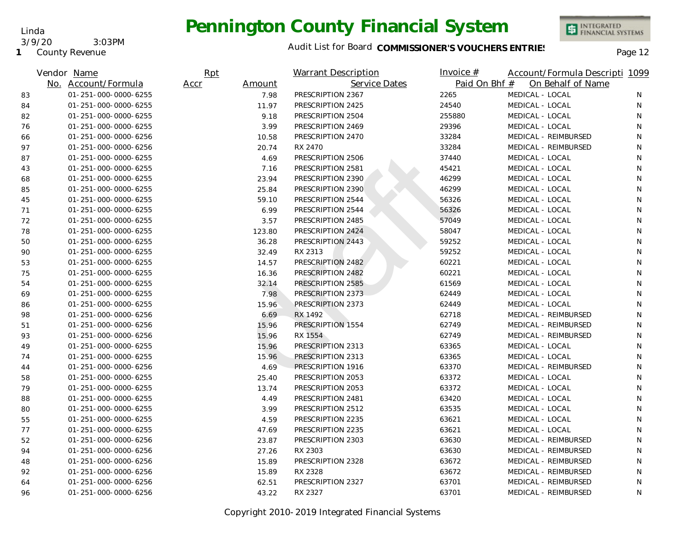Linda 3/9/20 3:03PM

**1** County Revenue

### Audit List for Board COMMISSIONER'S VOUCHERS ENTRIES<br>Page 12

|    | Vendor Name          | Rpt  |        | <b>Warrant Description</b> | Invoice $#$   | Account/Formula Descripti 1099 |    |
|----|----------------------|------|--------|----------------------------|---------------|--------------------------------|----|
|    | No. Account/Formula  | Accr | Amount | Service Dates              | Paid On Bhf # | On Behalf of Name              |    |
| 83 | 01-251-000-0000-6255 |      | 7.98   | PRESCRIPTION 2367          | 2265          | MEDICAL - LOCAL                | N  |
| 84 | 01-251-000-0000-6255 |      | 11.97  | PRESCRIPTION 2425          | 24540         | MEDICAL - LOCAL                | N  |
| 82 | 01-251-000-0000-6255 |      | 9.18   | PRESCRIPTION 2504          | 255880        | MEDICAL - LOCAL                | N  |
| 76 | 01-251-000-0000-6255 |      | 3.99   | PRESCRIPTION 2469          | 29396         | MEDICAL - LOCAL                | N  |
| 66 | 01-251-000-0000-6256 |      | 10.58  | PRESCRIPTION 2470          | 33284         | MEDICAL - REIMBURSED           | N  |
| 97 | 01-251-000-0000-6256 |      | 20.74  | RX 2470                    | 33284         | MEDICAL - REIMBURSED           | N  |
| 87 | 01-251-000-0000-6255 |      | 4.69   | PRESCRIPTION 2506          | 37440         | MEDICAL - LOCAL                | N  |
| 43 | 01-251-000-0000-6255 |      | 7.16   | PRESCRIPTION 2581          | 45421         | MEDICAL - LOCAL                | N  |
| 68 | 01-251-000-0000-6255 |      | 23.94  | PRESCRIPTION 2390          | 46299         | MEDICAL - LOCAL                | N  |
| 85 | 01-251-000-0000-6255 |      | 25.84  | PRESCRIPTION 2390          | 46299         | MEDICAL - LOCAL                | N  |
| 45 | 01-251-000-0000-6255 |      | 59.10  | PRESCRIPTION 2544          | 56326         | MEDICAL - LOCAL                | N  |
| 71 | 01-251-000-0000-6255 |      | 6.99   | PRESCRIPTION 2544          | 56326         | MEDICAL - LOCAL                | N  |
| 72 | 01-251-000-0000-6255 |      | 3.57   | PRESCRIPTION 2485          | 57049         | MEDICAL - LOCAL                | N. |
| 78 | 01-251-000-0000-6255 |      | 123.80 | PRESCRIPTION 2424          | 58047         | MEDICAL - LOCAL                | N  |
| 50 | 01-251-000-0000-6255 |      | 36.28  | PRESCRIPTION 2443          | 59252         | MEDICAL - LOCAL                | N  |
| 90 | 01-251-000-0000-6255 |      | 32.49  | RX 2313                    | 59252         | MEDICAL - LOCAL                | N  |
| 53 | 01-251-000-0000-6255 |      | 14.57  | PRESCRIPTION 2482          | 60221         | MEDICAL - LOCAL                | N  |
| 75 | 01-251-000-0000-6255 |      | 16.36  | PRESCRIPTION 2482          | 60221         | MEDICAL - LOCAL                | N  |
| 54 | 01-251-000-0000-6255 |      | 32.14  | PRESCRIPTION 2585          | 61569         | MEDICAL - LOCAL                | N  |
| 69 | 01-251-000-0000-6255 |      | 7.98   | PRESCRIPTION 2373          | 62449         | MEDICAL - LOCAL                | N  |
| 86 | 01-251-000-0000-6255 |      | 15.96  | PRESCRIPTION 2373          | 62449         | MEDICAL - LOCAL                | N  |
| 98 | 01-251-000-0000-6256 |      | 6.69   | RX 1492                    | 62718         | MEDICAL - REIMBURSED           | N  |
| 51 | 01-251-000-0000-6256 |      | 15.96  | PRESCRIPTION 1554          | 62749         | MEDICAL - REIMBURSED           | N  |
| 93 | 01-251-000-0000-6256 |      | 15.96  | RX 1554                    | 62749         | MEDICAL - REIMBURSED           | N  |
| 49 | 01-251-000-0000-6255 |      | 15.96  | PRESCRIPTION 2313          | 63365         | MEDICAL - LOCAL                | N  |
| 74 | 01-251-000-0000-6255 |      | 15.96  | PRESCRIPTION 2313          | 63365         | MEDICAL - LOCAL                | N  |
| 44 | 01-251-000-0000-6256 |      | 4.69   | PRESCRIPTION 1916          | 63370         | MEDICAL - REIMBURSED           | N  |
| 58 | 01-251-000-0000-6255 |      | 25.40  | PRESCRIPTION 2053          | 63372         | MEDICAL - LOCAL                | N  |
| 79 | 01-251-000-0000-6255 |      | 13.74  | PRESCRIPTION 2053          | 63372         | MEDICAL - LOCAL                | N  |
| 88 | 01-251-000-0000-6255 |      | 4.49   | PRESCRIPTION 2481          | 63420         | MEDICAL - LOCAL                | N  |
| 80 | 01-251-000-0000-6255 |      | 3.99   | PRESCRIPTION 2512          | 63535         | MEDICAL - LOCAL                | N  |
| 55 | 01-251-000-0000-6255 |      | 4.59   | PRESCRIPTION 2235          | 63621         | MEDICAL - LOCAL                | N  |
| 77 | 01-251-000-0000-6255 |      | 47.69  | PRESCRIPTION 2235          | 63621         | MEDICAL - LOCAL                | N  |
| 52 | 01-251-000-0000-6256 |      | 23.87  | PRESCRIPTION 2303          | 63630         | MEDICAL - REIMBURSED           | N  |
| 94 | 01-251-000-0000-6256 |      | 27.26  | RX 2303                    | 63630         | MEDICAL - REIMBURSED           | N  |
| 48 | 01-251-000-0000-6256 |      | 15.89  | PRESCRIPTION 2328          | 63672         | MEDICAL - REIMBURSED           | N  |
| 92 | 01-251-000-0000-6256 |      | 15.89  | RX 2328                    | 63672         | MEDICAL - REIMBURSED           | N  |
| 64 | 01-251-000-0000-6256 |      | 62.51  | PRESCRIPTION 2327          | 63701         | MEDICAL - REIMBURSED           | N  |
| 96 | 01-251-000-0000-6256 |      | 43.22  | RX 2327                    | 63701         | MEDICAL - REIMBURSED           | N  |

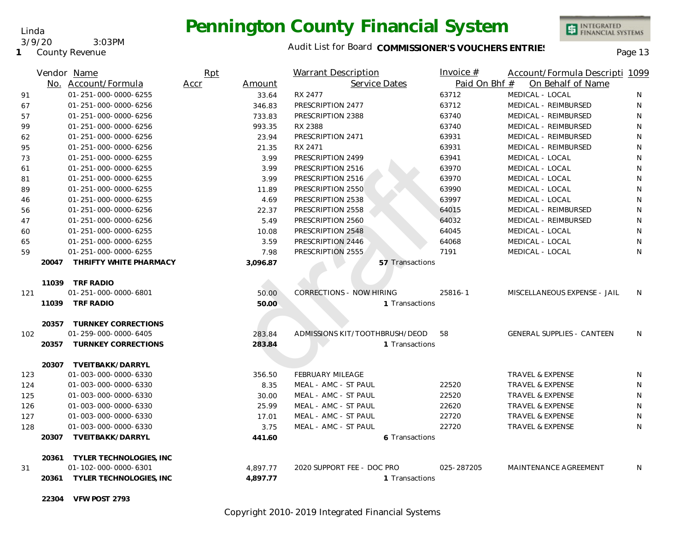Linda 3/9/20 3:03PM

**1** County Revenue

#### Audit List for Board COMMISSIONER'S VOUCHERS ENTRIES<br>Page 13

INTEGRATED<br>FINANCIAL SYSTEMS

|     |       | Vendor Name                   | Rpt  |          | <b>Warrant Description</b>      | Invoice #     | Account/Formula Descripti 1099    |              |
|-----|-------|-------------------------------|------|----------|---------------------------------|---------------|-----------------------------------|--------------|
|     |       | No. Account/Formula           | Accr | Amount   | Service Dates                   | Paid On Bhf # | On Behalf of Name                 |              |
| 91  |       | 01-251-000-0000-6255          |      | 33.64    | RX 2477                         | 63712         | MEDICAL - LOCAL                   | N            |
| 67  |       | 01-251-000-0000-6256          |      | 346.83   | PRESCRIPTION 2477               | 63712         | MEDICAL - REIMBURSED              | N            |
| 57  |       | 01-251-000-0000-6256          |      | 733.83   | PRESCRIPTION 2388               | 63740         | MEDICAL - REIMBURSED              | N            |
| 99  |       | 01-251-000-0000-6256          |      | 993.35   | RX 2388                         | 63740         | MEDICAL - REIMBURSED              | $\mathsf{N}$ |
| 62  |       | 01-251-000-0000-6256          |      | 23.94    | PRESCRIPTION 2471               | 63931         | MEDICAL - REIMBURSED              | N            |
| 95  |       | 01-251-000-0000-6256          |      | 21.35    | RX 2471                         | 63931         | MEDICAL - REIMBURSED              | $\mathsf{N}$ |
| 73  |       | 01-251-000-0000-6255          |      | 3.99     | PRESCRIPTION 2499               | 63941         | MEDICAL - LOCAL                   | N            |
| 61  |       | 01-251-000-0000-6255          |      | 3.99     | PRESCRIPTION 2516               | 63970         | MEDICAL - LOCAL                   | N            |
| 81  |       | 01-251-000-0000-6255          |      | 3.99     | PRESCRIPTION 2516               | 63970         | MEDICAL - LOCAL                   | N            |
| 89  |       | 01-251-000-0000-6255          |      | 11.89    | PRESCRIPTION 2550               | 63990         | MEDICAL - LOCAL                   | N            |
| 46  |       | 01-251-000-0000-6255          |      | 4.69     | PRESCRIPTION 2538               | 63997         | MEDICAL - LOCAL                   | N            |
| 56  |       | 01-251-000-0000-6256          |      | 22.37    | PRESCRIPTION 2558               | 64015         | MEDICAL - REIMBURSED              | N            |
| 47  |       | 01-251-000-0000-6256          |      | 5.49     | PRESCRIPTION 2560               | 64032         | MEDICAL - REIMBURSED              | N            |
| 60  |       | 01-251-000-0000-6255          |      | 10.08    | PRESCRIPTION 2548               | 64045         | MEDICAL - LOCAL                   | N            |
| 65  |       | 01-251-000-0000-6255          |      | 3.59     | PRESCRIPTION 2446               | 64068         | MEDICAL - LOCAL                   | N            |
| 59  |       | 01-251-000-0000-6255          |      | 7.98     | PRESCRIPTION 2555               | 7191          | MEDICAL - LOCAL                   | N            |
|     | 20047 | THRIFTY WHITE PHARMACY        |      | 3,096.87 | 57 Transactions                 |               |                                   |              |
|     |       | 11039 TRF RADIO               |      |          |                                 |               |                                   |              |
| 121 |       | 01-251-000-0000-6801          |      | 50.00    | <b>CORRECTIONS - NOW HIRING</b> | 25816-1       | MISCELLANEOUS EXPENSE - JAIL      | N.           |
|     |       | 11039 TRF RADIO               |      | 50.00    | 1 Transactions                  |               |                                   |              |
|     | 20357 | TURNKEY CORRECTIONS           |      |          |                                 |               |                                   |              |
| 102 |       | 01-259-000-0000-6405          |      | 283.84   | ADMISSIONS KIT/TOOTHBRUSH/DEOD  | 58            | <b>GENERAL SUPPLIES - CANTEEN</b> | N            |
|     | 20357 | TURNKEY CORRECTIONS           |      | 283.84   | 1 Transactions                  |               |                                   |              |
|     | 20307 | TVEITBAKK/DARRYL              |      |          |                                 |               |                                   |              |
| 123 |       | 01-003-000-0000-6330          |      | 356.50   | <b>FEBRUARY MILEAGE</b>         |               | <b>TRAVEL &amp; EXPENSE</b>       | N            |
| 124 |       | 01-003-000-0000-6330          |      | 8.35     | MEAL - AMC - ST PAUL            | 22520         | <b>TRAVEL &amp; EXPENSE</b>       | N            |
| 125 |       | 01-003-000-0000-6330          |      | 30.00    | MEAL - AMC - ST PAUL            | 22520         | <b>TRAVEL &amp; EXPENSE</b>       | N            |
| 126 |       | 01-003-000-0000-6330          |      | 25.99    | MEAL - AMC - ST PAUL            | 22620         | <b>TRAVEL &amp; EXPENSE</b>       | N            |
| 127 |       | 01-003-000-0000-6330          |      | 17.01    | MEAL - AMC - ST PAUL            | 22720         | TRAVEL & EXPENSE                  | N            |
| 128 |       | 01-003-000-0000-6330          |      | 3.75     | MEAL - AMC - ST PAUL            | 22720         | TRAVEL & EXPENSE                  | N            |
|     | 20307 | TVEITBAKK/DARRYL              |      | 441.60   | 6 Transactions                  |               |                                   |              |
|     |       | 20361 TYLER TECHNOLOGIES, INC |      |          |                                 |               |                                   |              |
| 31  |       | 01-102-000-0000-6301          |      | 4,897.77 | 2020 SUPPORT FEE - DOC PRO      | 025-287205    | MAINTENANCE AGREEMENT             | N            |
|     |       | 20361 TYLER TECHNOLOGIES, INC |      | 4.897.77 | 1 Transactions                  |               |                                   |              |
|     |       |                               |      |          |                                 |               |                                   |              |

**22304 VFW POST 2793**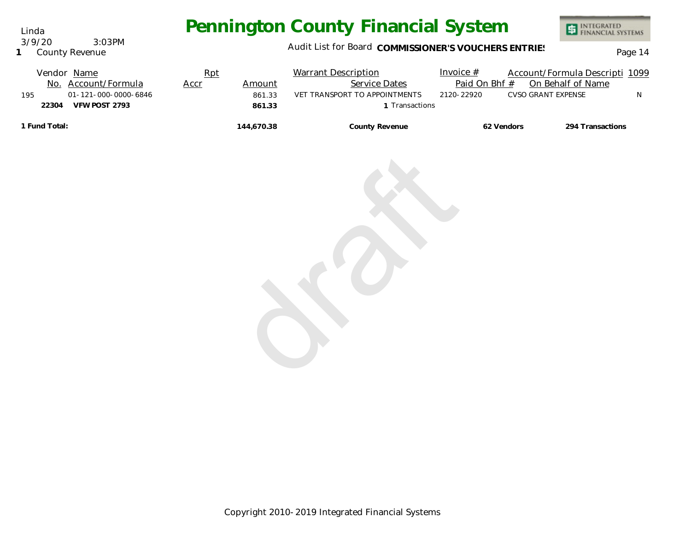Audit List for Board COMMISSIONER'S VOUCHERS ENTRIES<br>Page 14

| Vendor Name                 | Rpt  |            | <b>Warrant Description</b>    | Invoice $#$   | Account/Formula Descripti 1099 |                  |
|-----------------------------|------|------------|-------------------------------|---------------|--------------------------------|------------------|
| No. Account/Formula         | Accr | Amount     | <b>Service Dates</b>          | Paid On Bhf # | On Behalf of Name              |                  |
| 01-121-000-0000-6846<br>195 |      | 861.33     | VET TRANSPORT TO APPOINTMENTS | 2120-22920    | CVSO GRANT EXPENSE             |                  |
| 22304<br>VFW POST 2793      |      | 861.33     | Transactions                  |               |                                |                  |
| 1 Fund Total:               |      | 144,670.38 | County Revenue                |               | 62 Vendors                     | 294 Transactions |

draft

Copyright 2010-2019 Integrated Financial Systems

Linda 3/9/20 3:03PM

**1** County Revenue

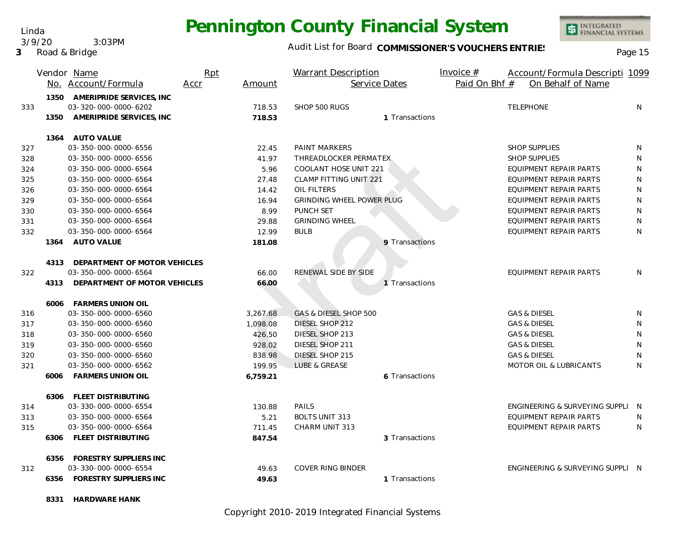Linda 3/9/20 3:03PM

**3** Road & Bridge

#### Audit List for Board COMMISSIONER'S VOUCHERS ENTRIES<br>Page 15

|     |      | Vendor Name                   | Rpt  |          | <b>Warrant Description</b>       | Invoice $#$   | Account/Formula Descripti 1099    |   |
|-----|------|-------------------------------|------|----------|----------------------------------|---------------|-----------------------------------|---|
|     |      | No. Account/Formula           | Accr | Amount   | Service Dates                    | Paid On Bhf # | On Behalf of Name                 |   |
|     | 1350 | AMERIPRIDE SERVICES, INC      |      |          |                                  |               |                                   |   |
| 333 |      | 03-320-000-0000-6202          |      | 718.53   | SHOP 500 RUGS                    |               | <b>TELEPHONE</b>                  | N |
|     | 1350 | AMERIPRIDE SERVICES, INC      |      | 718.53   | 1 Transactions                   |               |                                   |   |
|     |      | 1364 AUTO VALUE               |      |          |                                  |               |                                   |   |
| 327 |      | 03-350-000-0000-6556          |      | 22.45    | PAINT MARKERS                    |               | <b>SHOP SUPPLIES</b>              | N |
| 328 |      | 03-350-000-0000-6556          |      | 41.97    | THREADLOCKER PERMATEX            |               | <b>SHOP SUPPLIES</b>              | N |
| 324 |      | 03-350-000-0000-6564          |      | 5.96     | COOLANT HOSE UNIT 221            |               | EQUIPMENT REPAIR PARTS            | N |
| 325 |      | 03-350-000-0000-6564          |      | 27.48    | <b>CLAMP FITTING UNIT 221</b>    |               | EQUIPMENT REPAIR PARTS            | N |
| 326 |      | 03-350-000-0000-6564          |      | 14.42    | OIL FILTERS                      |               | EQUIPMENT REPAIR PARTS            | N |
| 329 |      | 03-350-000-0000-6564          |      | 16.94    | <b>GRINDING WHEEL POWER PLUG</b> |               | EQUIPMENT REPAIR PARTS            | N |
| 330 |      | 03-350-000-0000-6564          |      | 8.99     | PUNCH SET                        |               | <b>EQUIPMENT REPAIR PARTS</b>     | N |
| 331 |      | 03-350-000-0000-6564          |      | 29.88    | <b>GRINDING WHEEL</b>            |               | EQUIPMENT REPAIR PARTS            | N |
| 332 |      | 03-350-000-0000-6564          |      | 12.99    | <b>BULB</b>                      |               | EQUIPMENT REPAIR PARTS            | N |
|     | 1364 | <b>AUTO VALUE</b>             |      | 181.08   | 9 Transactions                   |               |                                   |   |
|     | 4313 | DEPARTMENT OF MOTOR VEHICLES  |      |          |                                  |               |                                   |   |
| 322 |      | 03-350-000-0000-6564          |      | 66.00    | RENEWAL SIDE BY SIDE             |               | EQUIPMENT REPAIR PARTS            | N |
|     | 4313 | DEPARTMENT OF MOTOR VEHICLES  |      | 66.00    | 1 Transactions                   |               |                                   |   |
|     |      | 6006 FARMERS UNION OIL        |      |          |                                  |               |                                   |   |
| 316 |      | 03-350-000-0000-6560          |      | 3,267.68 | GAS & DIESEL SHOP 500            |               | <b>GAS &amp; DIESEL</b>           | N |
| 317 |      | 03-350-000-0000-6560          |      | 1,098.08 | DIESEL SHOP 212                  |               | <b>GAS &amp; DIESEL</b>           | N |
| 318 |      | 03-350-000-0000-6560          |      | 426.50   | DIESEL SHOP 213                  |               | <b>GAS &amp; DIESEL</b>           | N |
| 319 |      | 03-350-000-0000-6560          |      | 928.02   | DIESEL SHOP 211                  |               | <b>GAS &amp; DIESEL</b>           | N |
| 320 |      | 03-350-000-0000-6560          |      | 838.98   | DIESEL SHOP 215                  |               | <b>GAS &amp; DIESEL</b>           | N |
| 321 |      | 03-350-000-0000-6562          |      | 199.95   | LUBE & GREASE                    |               | <b>MOTOR OIL &amp; LUBRICANTS</b> | N |
|     | 6006 | <b>FARMERS UNION OIL</b>      |      | 6,759.21 | 6 Transactions                   |               |                                   |   |
|     |      | 6306 FLEET DISTRIBUTING       |      |          |                                  |               |                                   |   |
| 314 |      | 03-330-000-0000-6554          |      | 130.88   | PAILS                            |               | ENGINEERING & SURVEYING SUPPLI N  |   |
| 313 |      | 03-350-000-0000-6564          |      | 5.21     | <b>BOLTS UNIT 313</b>            |               | EQUIPMENT REPAIR PARTS            | N |
| 315 |      | 03-350-000-0000-6564          |      | 711.45   | CHARM UNIT 313                   |               | EQUIPMENT REPAIR PARTS            | N |
|     | 6306 | FLEET DISTRIBUTING            |      | 847.54   | 3 Transactions                   |               |                                   |   |
|     | 6356 | FORESTRY SUPPLIERS INC        |      |          |                                  |               |                                   |   |
| 312 |      | 03-330-000-0000-6554          |      | 49.63    | <b>COVER RING BINDER</b>         |               | ENGINEERING & SURVEYING SUPPLI N  |   |
|     | 6356 | <b>FORESTRY SUPPLIERS INC</b> |      | 49.63    | 1 Transactions                   |               |                                   |   |

**8331 HARDWARE HANK**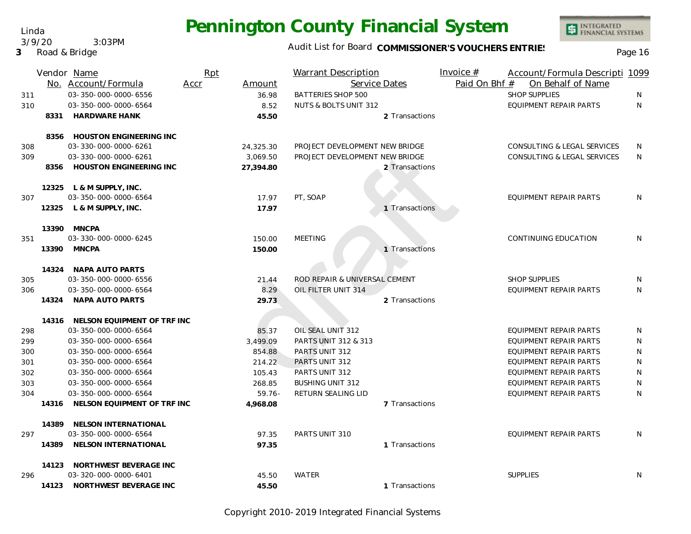Audit List for Board COMMISSIONER'S VOUCHERS ENTRIES<br>Page 16

INTEGRATED<br>FINANCIAL SYSTEMS

|     |       | Vendor Name<br>No. Account/Formula | Rpt<br>Accr | Amount    | <b>Warrant Description</b>     | Service Dates  | Invoice $#$<br>Paid On Bhf # | Account/Formula Descripti 1099<br>On Behalf of Name |              |
|-----|-------|------------------------------------|-------------|-----------|--------------------------------|----------------|------------------------------|-----------------------------------------------------|--------------|
| 311 |       | 03-350-000-0000-6556               |             | 36.98     | <b>BATTERIES SHOP 500</b>      |                |                              | <b>SHOP SUPPLIES</b>                                | N            |
| 310 |       | 03-350-000-0000-6564               |             | 8.52      | NUTS & BOLTS UNIT 312          |                |                              | <b>EQUIPMENT REPAIR PARTS</b>                       | $\mathsf{N}$ |
|     |       | 8331 HARDWARE HANK                 |             | 45.50     |                                | 2 Transactions |                              |                                                     |              |
|     |       | 8356 HOUSTON ENGINEERING INC       |             |           |                                |                |                              |                                                     |              |
| 308 |       | 03-330-000-0000-6261               |             | 24,325.30 | PROJECT DEVELOPMENT NEW BRIDGE |                |                              | CONSULTING & LEGAL SERVICES                         | N            |
| 309 |       | 03-330-000-0000-6261               |             | 3.069.50  | PROJECT DEVELOPMENT NEW BRIDGE |                |                              | CONSULTING & LEGAL SERVICES                         | N            |
|     | 8356  | HOUSTON ENGINEERING INC            |             | 27,394.80 |                                | 2 Transactions |                              |                                                     |              |
|     |       | 12325 L & M SUPPLY, INC.           |             |           |                                |                |                              |                                                     |              |
| 307 |       | 03-350-000-0000-6564               |             | 17.97     | PT, SOAP                       |                |                              | EQUIPMENT REPAIR PARTS                              | N            |
|     |       | 12325 L & M SUPPLY, INC.           |             | 17.97     |                                | 1 Transactions |                              |                                                     |              |
|     | 13390 | <b>MNCPA</b>                       |             |           |                                |                |                              |                                                     |              |
| 351 |       | 03-330-000-0000-6245               |             | 150.00    | <b>MEETING</b>                 |                |                              | CONTINUING EDUCATION                                | N            |
|     |       | 13390 MNCPA                        |             | 150.00    |                                | 1 Transactions |                              |                                                     |              |
|     |       | 14324 NAPA AUTO PARTS              |             |           |                                |                |                              |                                                     |              |
| 305 |       | 03-350-000-0000-6556               |             | 21.44     | ROD REPAIR & UNIVERSAL CEMENT  |                |                              | <b>SHOP SUPPLIES</b>                                | N            |
| 306 |       | 03-350-000-0000-6564               |             | 8.29      | OIL FILTER UNIT 314            |                |                              | EQUIPMENT REPAIR PARTS                              | N            |
|     | 14324 | NAPA AUTO PARTS                    |             | 29.73     |                                | 2 Transactions |                              |                                                     |              |
|     |       | 14316 NELSON EQUIPMENT OF TRF INC  |             |           |                                |                |                              |                                                     |              |
| 298 |       | 03-350-000-0000-6564               |             | 85.37     | OIL SEAL UNIT 312              |                |                              | EQUIPMENT REPAIR PARTS                              | N            |
| 299 |       | 03-350-000-0000-6564               |             | 3,499.09  | PARTS UNIT 312 & 313           |                |                              | EQUIPMENT REPAIR PARTS                              | N            |
| 300 |       | 03-350-000-0000-6564               |             | 854.88    | PARTS UNIT 312                 |                |                              | EQUIPMENT REPAIR PARTS                              | N            |
| 301 |       | 03-350-000-0000-6564               |             | 214.22    | PARTS UNIT 312                 |                |                              | EQUIPMENT REPAIR PARTS                              | ${\sf N}$    |
| 302 |       | 03-350-000-0000-6564               |             | 105.43    | PARTS UNIT 312                 |                |                              | EQUIPMENT REPAIR PARTS                              | N            |
| 303 |       | 03-350-000-0000-6564               |             | 268.85    | <b>BUSHING UNIT 312</b>        |                |                              | <b>EQUIPMENT REPAIR PARTS</b>                       | ${\sf N}$    |
| 304 |       | 03-350-000-0000-6564               |             | $59.76 -$ | RETURN SEALING LID             |                |                              | EQUIPMENT REPAIR PARTS                              | N            |
|     |       | 14316 NELSON EQUIPMENT OF TRF INC  |             | 4,968.08  |                                | 7 Transactions |                              |                                                     |              |
|     | 14389 | NELSON INTERNATIONAL               |             |           |                                |                |                              |                                                     |              |
| 297 |       | 03-350-000-0000-6564               |             | 97.35     | PARTS UNIT 310                 |                |                              | EQUIPMENT REPAIR PARTS                              | N            |
|     | 14389 | NELSON INTERNATIONAL               |             | 97.35     |                                | 1 Transactions |                              |                                                     |              |
|     |       | 14123 NORTHWEST BEVERAGE INC       |             |           |                                |                |                              |                                                     |              |
| 296 |       | 03-320-000-0000-6401               |             | 45.50     | <b>WATER</b>                   |                |                              | <b>SUPPLIES</b>                                     | N            |
|     | 14123 | NORTHWEST BEVERAGE INC             |             | 45.50     |                                | 1 Transactions |                              |                                                     |              |

Copyright 2010-2019 Integrated Financial Systems

#### Linda 3/9/20 3:03PM

**3** Road & Bridge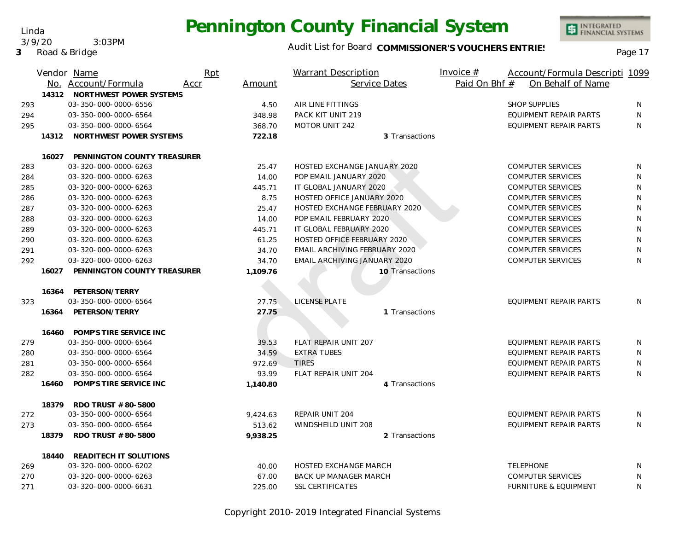Linda 3/9/20 3:03PM

**3** Road & Bridge

#### Audit List for Board COMMISSIONER'S VOUCHERS ENTRIES<br>Page 17

|     |       | Vendor Name                       | Rpt  |          | <b>Warrant Description</b>           | Invoice $#$   | Account/Formula Descripti 1099   |           |
|-----|-------|-----------------------------------|------|----------|--------------------------------------|---------------|----------------------------------|-----------|
|     |       | No. Account/Formula               | Accr | Amount   | Service Dates                        | Paid On Bhf # | On Behalf of Name                |           |
|     |       | 14312 NORTHWEST POWER SYSTEMS     |      |          |                                      |               |                                  |           |
| 293 |       | 03-350-000-0000-6556              |      | 4.50     | AIR LINE FITTINGS                    |               | <b>SHOP SUPPLIES</b>             | N         |
| 294 |       | 03-350-000-0000-6564              |      | 348.98   | PACK KIT UNIT 219                    |               | <b>EQUIPMENT REPAIR PARTS</b>    | N         |
| 295 |       | 03-350-000-0000-6564              |      | 368.70   | <b>MOTOR UNIT 242</b>                |               | <b>EQUIPMENT REPAIR PARTS</b>    | N         |
|     | 14312 | NORTHWEST POWER SYSTEMS           |      | 722.18   | 3 Transactions                       |               |                                  |           |
|     |       | 16027 PENNINGTON COUNTY TREASURER |      |          |                                      |               |                                  |           |
| 283 |       | 03-320-000-0000-6263              |      | 25.47    | HOSTED EXCHANGE JANUARY 2020         |               | <b>COMPUTER SERVICES</b>         | N         |
| 284 |       | 03-320-000-0000-6263              |      | 14.00    | POP EMAIL JANUARY 2020               |               | <b>COMPUTER SERVICES</b>         | N         |
| 285 |       | 03-320-000-0000-6263              |      | 445.71   | IT GLOBAL JANUARY 2020               |               | <b>COMPUTER SERVICES</b>         | N         |
| 286 |       | 03-320-000-0000-6263              |      | 8.75     | HOSTED OFFICE JANUARY 2020           |               | <b>COMPUTER SERVICES</b>         | N         |
| 287 |       | 03-320-000-0000-6263              |      | 25.47    | HOSTED EXCHANGE FEBRUARY 2020        |               | <b>COMPUTER SERVICES</b>         | N         |
| 288 |       | 03-320-000-0000-6263              |      | 14.00    | POP EMAIL FEBRUARY 2020              |               | <b>COMPUTER SERVICES</b>         | N         |
| 289 |       | 03-320-000-0000-6263              |      | 445.71   | IT GLOBAL FEBRUARY 2020              |               | <b>COMPUTER SERVICES</b>         | ${\sf N}$ |
| 290 |       | 03-320-000-0000-6263              |      | 61.25    | HOSTED OFFICE FEBRUARY 2020          |               | <b>COMPUTER SERVICES</b>         | N         |
| 291 |       | 03-320-000-0000-6263              |      | 34.70    | <b>EMAIL ARCHIVING FEBRUARY 2020</b> |               | <b>COMPUTER SERVICES</b>         | N         |
| 292 |       | 03-320-000-0000-6263              |      | 34.70    | EMAIL ARCHIVING JANUARY 2020         |               | <b>COMPUTER SERVICES</b>         | N         |
|     | 16027 | PENNINGTON COUNTY TREASURER       |      | 1,109.76 | 10 Transactions                      |               |                                  |           |
|     | 16364 | PETERSON/TERRY                    |      |          |                                      |               |                                  |           |
| 323 |       | 03-350-000-0000-6564              |      | 27.75    | LICENSE PLATE                        |               | EQUIPMENT REPAIR PARTS           | N         |
|     | 16364 | PETERSON/TERRY                    |      | 27.75    | 1 Transactions                       |               |                                  |           |
|     | 16460 | POMP'S TIRE SERVICE INC           |      |          |                                      |               |                                  |           |
| 279 |       | 03-350-000-0000-6564              |      | 39.53    | FLAT REPAIR UNIT 207                 |               | EQUIPMENT REPAIR PARTS           | N         |
| 280 |       | 03-350-000-0000-6564              |      | 34.59    | <b>EXTRA TUBES</b>                   |               | EQUIPMENT REPAIR PARTS           | N         |
| 281 |       | 03-350-000-0000-6564              |      | 972.69   | <b>TIRES</b>                         |               | EQUIPMENT REPAIR PARTS           | N         |
| 282 |       | 03-350-000-0000-6564              |      | 93.99    | FLAT REPAIR UNIT 204                 |               | <b>EQUIPMENT REPAIR PARTS</b>    | N         |
|     | 16460 | POMP'S TIRE SERVICE INC           |      | 1,140.80 | 4 Transactions                       |               |                                  |           |
|     | 18379 | RDO TRUST # 80-5800               |      |          |                                      |               |                                  |           |
| 272 |       | 03-350-000-0000-6564              |      | 9,424.63 | REPAIR UNIT 204                      |               | EQUIPMENT REPAIR PARTS           | N         |
| 273 |       | 03-350-000-0000-6564              |      | 513.62   | WINDSHEILD UNIT 208                  |               | EQUIPMENT REPAIR PARTS           | N.        |
|     | 18379 | RDO TRUST # 80-5800               |      | 9,938.25 | 2 Transactions                       |               |                                  |           |
|     | 18440 | READITECH IT SOLUTIONS            |      |          |                                      |               |                                  |           |
| 269 |       | 03-320-000-0000-6202              |      | 40.00    | <b>HOSTED EXCHANGE MARCH</b>         |               | <b>TELEPHONE</b>                 | N         |
| 270 |       | 03-320-000-0000-6263              |      | 67.00    | <b>BACK UP MANAGER MARCH</b>         |               | <b>COMPUTER SERVICES</b>         | N         |
| 271 |       | 03-320-000-0000-6631              |      | 225.00   | <b>SSL CERTIFICATES</b>              |               | <b>FURNITURE &amp; EQUIPMENT</b> | N         |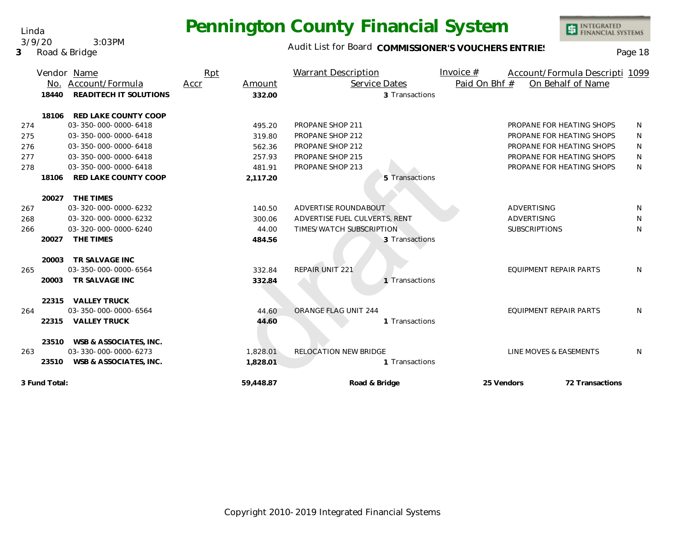Linda 3/9/20 3:03PM

**3** Road & Bridge

#### Audit List for Board COMMISSIONER'S VOUCHERS ENTRIES<br>Page 18

|     | No.           | Vendor Name<br>Account/Formula | Rpt<br>Accr | Amount    | Warrant Description<br>Service Dates | Invoice $#$<br>Paid On Bhf # | Account/Formula Descripti 1099 | On Behalf of Name |              |
|-----|---------------|--------------------------------|-------------|-----------|--------------------------------------|------------------------------|--------------------------------|-------------------|--------------|
|     | 18440         | READITECH IT SOLUTIONS         |             | 332.00    | 3 Transactions                       |                              |                                |                   |              |
|     | 18106         | RED LAKE COUNTY COOP           |             |           |                                      |                              |                                |                   |              |
| 274 |               | 03-350-000-0000-6418           |             | 495.20    | PROPANE SHOP 211                     |                              | PROPANE FOR HEATING SHOPS      |                   | N            |
| 275 |               | 03-350-000-0000-6418           |             | 319.80    | PROPANE SHOP 212                     |                              | PROPANE FOR HEATING SHOPS      |                   | N            |
| 276 |               | 03-350-000-0000-6418           |             | 562.36    | PROPANE SHOP 212                     |                              | PROPANE FOR HEATING SHOPS      |                   | N            |
| 277 |               | 03-350-000-0000-6418           |             | 257.93    | PROPANE SHOP 215                     |                              | PROPANE FOR HEATING SHOPS      |                   | N            |
| 278 |               | 03-350-000-0000-6418           |             | 481.91    | PROPANE SHOP 213                     |                              | PROPANE FOR HEATING SHOPS      |                   | N            |
|     | 18106         | RED LAKE COUNTY COOP           |             | 2,117.20  | 5 Transactions                       |                              |                                |                   |              |
|     | 20027         | THE TIMES                      |             |           |                                      |                              |                                |                   |              |
| 267 |               | 03-320-000-0000-6232           |             | 140.50    | ADVERTISE ROUNDABOUT                 |                              | <b>ADVERTISING</b>             |                   | N            |
| 268 |               | 03-320-000-0000-6232           |             | 300.06    | ADVERTISE FUEL CULVERTS, RENT        |                              | ADVERTISING                    |                   | N            |
| 266 |               | 03-320-000-0000-6240           |             | 44.00     | TIMES/WATCH SUBSCRIPTION             |                              | <b>SUBSCRIPTIONS</b>           |                   | N            |
|     | 20027         | THE TIMES                      |             | 484.56    | 3 Transactions                       |                              |                                |                   |              |
|     | 20003         | TR SALVAGE INC                 |             |           |                                      |                              |                                |                   |              |
| 265 |               | 03-350-000-0000-6564           |             | 332.84    | <b>REPAIR UNIT 221</b>               |                              | EQUIPMENT REPAIR PARTS         |                   | N            |
|     | 20003         | TR SALVAGE INC                 |             | 332.84    | 1 Transactions                       |                              |                                |                   |              |
|     |               | 22315 VALLEY TRUCK             |             |           |                                      |                              |                                |                   |              |
| 264 |               | 03-350-000-0000-6564           |             | 44.60     | ORANGE FLAG UNIT 244                 |                              | <b>EQUIPMENT REPAIR PARTS</b>  |                   | N            |
|     | 22315         | <b>VALLEY TRUCK</b>            |             | 44.60     | 1 Transactions                       |                              |                                |                   |              |
|     | 23510         | WSB & ASSOCIATES, INC.         |             |           |                                      |                              |                                |                   |              |
| 263 |               | 03-330-000-0000-6273           |             | 1,828.01  | RELOCATION NEW BRIDGE                |                              | LINE MOVES & EASEMENTS         |                   | <sup>N</sup> |
|     | 23510         | WSB & ASSOCIATES, INC.         |             | 1,828.01  | 1 Transactions                       |                              |                                |                   |              |
|     | 3 Fund Total: |                                |             | 59,448.87 | Road & Bridge                        | 25 Vendors                   |                                | 72 Transactions   |              |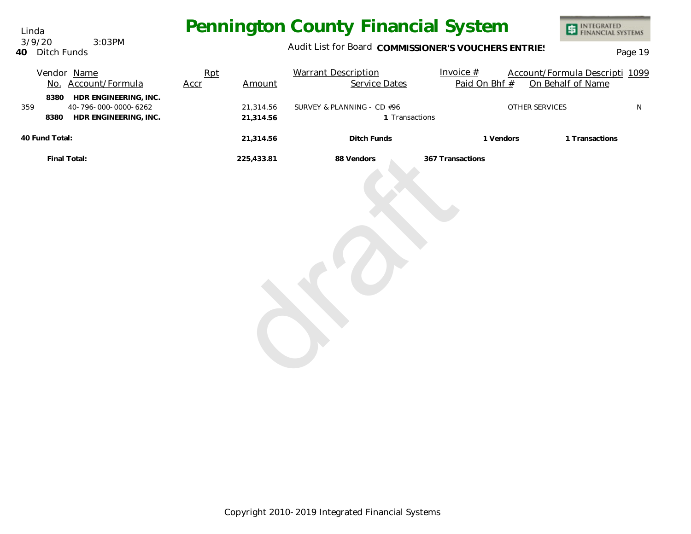Linda **40** Ditch Funds 3/9/20 3:03PM

### Audit List for Board COMMISSIONER'S VOUCHERS ENTRIES<br>Page 19

| Vendor Name<br>No. Account/Formula                                                            | Rpt<br>Accr | Amount                 | <b>Warrant Description</b><br>Service Dates  | Invoice $#$<br>Paid On Bhf # | Account/Formula Descripti 1099<br>On Behalf of Name |           |
|-----------------------------------------------------------------------------------------------|-------------|------------------------|----------------------------------------------|------------------------------|-----------------------------------------------------|-----------|
| HDR ENGINEERING, INC.<br>8380<br>40-796-000-0000-6262<br>359<br>HDR ENGINEERING, INC.<br>8380 |             | 21,314.56<br>21,314.56 | SURVEY & PLANNING - CD #96<br>1 Transactions |                              | OTHER SERVICES                                      | ${\sf N}$ |
| 40 Fund Total:                                                                                |             | 21,314.56              | Ditch Funds                                  | 1 Vendors                    | 1 Transactions                                      |           |
| Final Total:                                                                                  |             | 225,433.81             | 88 Vendors                                   | 367 Transactions             |                                                     |           |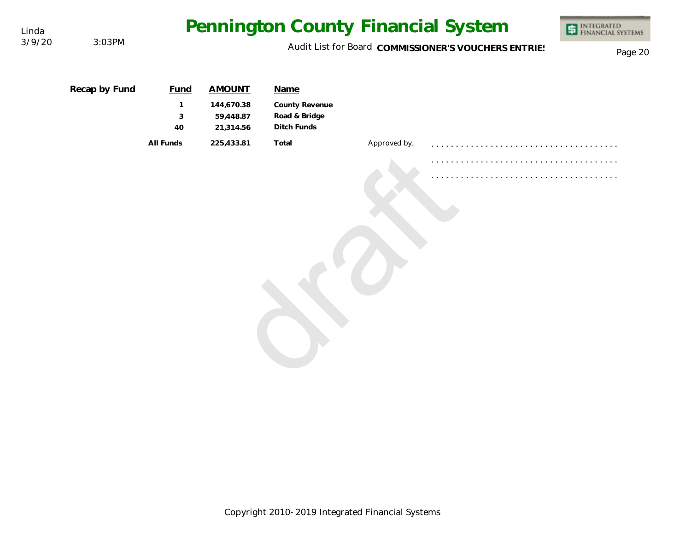| Linda  |               |                                        |                                                       |                                                        |              | Pennington County Financial System                   | INTEGRATED<br>FINANCIAL SYSTEMS<br>車 |
|--------|---------------|----------------------------------------|-------------------------------------------------------|--------------------------------------------------------|--------------|------------------------------------------------------|--------------------------------------|
| 3/9/20 | 3:03PM        |                                        |                                                       |                                                        |              | Audit List for Board COMMISSIONER'S VOUCHERS ENTRIES | Page 20                              |
|        | Recap by Fund | <b>Fund</b><br>$\mathbf{1}$<br>3<br>40 | <b>AMOUNT</b><br>144,670.38<br>59,448.87<br>21,314.56 | Name<br>County Revenue<br>Road & Bridge<br>Ditch Funds |              |                                                      |                                      |
|        |               | All Funds                              | 225,433.81                                            | Total                                                  | Approved by, |                                                      |                                      |
|        |               |                                        |                                                       |                                                        |              |                                                      |                                      |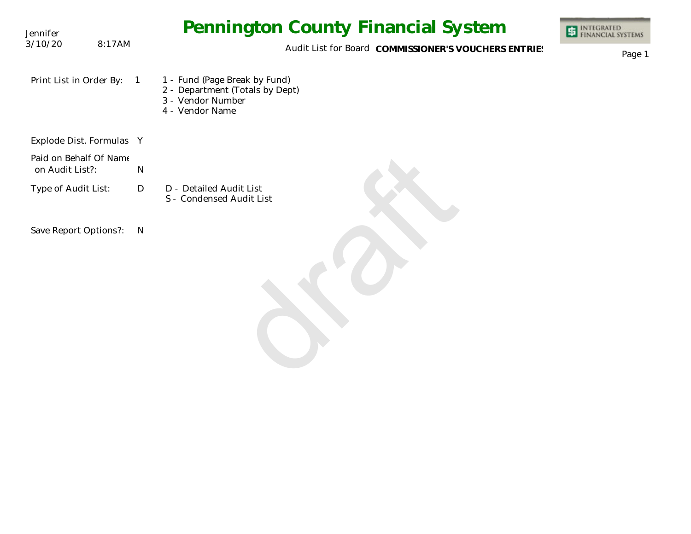| Jennifer                                  | Pennington County Financial System                                                                                         | <b>ET INTEGRATED</b><br>FINANCIAL SYSTEMS |
|-------------------------------------------|----------------------------------------------------------------------------------------------------------------------------|-------------------------------------------|
| 3/10/20<br>8:17AM                         | Audit List for Board COMMISSIONER'S VOUCHERS ENTRIES                                                                       | Page 1                                    |
| Print List in Order By:                   | 1 - Fund (Page Break by Fund)<br>$\overline{1}$<br>2 - Department (Totals by Dept)<br>3 - Vendor Number<br>4 - Vendor Name |                                           |
| Explode Dist. Formulas Y                  |                                                                                                                            |                                           |
| Paid on Behalf Of Name<br>on Audit List?: | ${\sf N}$                                                                                                                  |                                           |
| Type of Audit List:                       | D<br>D - Detailed Audit List<br>S - Condensed Audit List                                                                   |                                           |
| Save Report Options?:                     | $\mathsf{N}$                                                                                                               |                                           |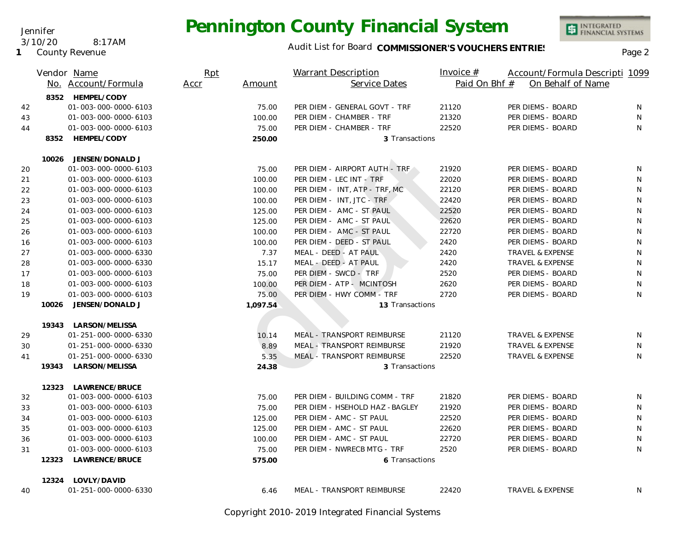

INTEGRATED<br>FINANCIAL SYSTEMS

**1** County Revenue

3/10/20 8:17AM

Jennifer

|    |       | Vendor Name<br>No. Account/Formula | Rpt<br>Accr | Amount   | Warrant Description<br>Service Dates | Invoice $#$<br>Paid On Bhf # | Account/Formula Descripti 1099<br>On Behalf of Name |   |  |
|----|-------|------------------------------------|-------------|----------|--------------------------------------|------------------------------|-----------------------------------------------------|---|--|
|    |       | 8352 HEMPEL/CODY                   |             |          |                                      |                              |                                                     |   |  |
| 42 |       | 01-003-000-0000-6103               |             | 75.00    | PER DIEM - GENERAL GOVT - TRF        | 21120                        | PER DIEMS - BOARD                                   | N |  |
| 43 |       | 01-003-000-0000-6103               |             | 100.00   | PER DIEM - CHAMBER - TRF             | 21320                        | PER DIEMS - BOARD                                   | N |  |
| 44 |       | 01-003-000-0000-6103               |             | 75.00    | PER DIEM - CHAMBER - TRF             | 22520                        | PER DIEMS - BOARD                                   | N |  |
|    | 8352  | HEMPEL/CODY                        |             | 250.00   | 3 Transactions                       |                              |                                                     |   |  |
|    | 10026 | JENSEN/DONALD J                    |             |          |                                      |                              |                                                     |   |  |
| 20 |       | 01-003-000-0000-6103               |             | 75.00    | PER DIEM - AIRPORT AUTH - TRF        | 21920                        | PER DIEMS - BOARD                                   | N |  |
| 21 |       | 01-003-000-0000-6103               |             | 100.00   | PER DIEM - LEC INT - TRF             | 22020                        | PER DIEMS - BOARD                                   | N |  |
| 22 |       | 01-003-000-0000-6103               |             | 100.00   | PER DIEM - INT, ATP - TRF, MC        | 22120                        | PER DIEMS - BOARD                                   | N |  |
| 23 |       | 01-003-000-0000-6103               |             | 100.00   | PER DIEM - INT, JTC - TRF            | 22420                        | PER DIEMS - BOARD                                   | N |  |
| 24 |       | 01-003-000-0000-6103               |             | 125.00   | PER DIEM - AMC - ST PAUL             | 22520                        | PER DIEMS - BOARD                                   | N |  |
| 25 |       | 01-003-000-0000-6103               |             | 125.00   | PER DIEM - AMC - ST PAUL             | 22620                        | PER DIEMS - BOARD                                   | N |  |
| 26 |       | 01-003-000-0000-6103               |             | 100.00   | PER DIEM - AMC - ST PAUL             | 22720                        | PER DIEMS - BOARD                                   | N |  |
| 16 |       | 01-003-000-0000-6103               |             | 100.00   | PER DIEM - DEED - ST PAUL            | 2420                         | PER DIEMS - BOARD                                   | N |  |
| 27 |       | 01-003-000-0000-6330               |             | 7.37     | MEAL - DEED - AT PAUL                | 2420                         | <b>TRAVEL &amp; EXPENSE</b>                         | N |  |
| 28 |       | 01-003-000-0000-6330               |             | 15.17    | MEAL - DEED - AT PAUL                | 2420                         | TRAVEL & EXPENSE                                    | N |  |
| 17 |       | 01-003-000-0000-6103               |             | 75.00    | PER DIEM - SWCD - TRF                | 2520                         | PER DIEMS - BOARD                                   | N |  |
| 18 |       | 01-003-000-0000-6103               |             | 100.00   | PER DIEM - ATP - MCINTOSH            | 2620                         | PER DIEMS - BOARD                                   | N |  |
| 19 |       | 01-003-000-0000-6103               |             | 75.00    | PER DIEM - HWY COMM - TRF            | 2720                         | PER DIEMS - BOARD                                   | N |  |
|    | 10026 | JENSEN/DONALD J                    |             | 1,097.54 | 13 Transactions                      |                              |                                                     |   |  |
|    |       | 19343 LARSON/MELISSA               |             |          |                                      |                              |                                                     |   |  |
| 29 |       | 01-251-000-0000-6330               |             | 10.14    | MEAL - TRANSPORT REIMBURSE           | 21120                        | TRAVEL & EXPENSE                                    | N |  |
| 30 |       | 01-251-000-0000-6330               |             | 8.89     | MEAL - TRANSPORT REIMBURSE           | 21920                        | TRAVEL & EXPENSE                                    | N |  |
| 41 |       | 01-251-000-0000-6330               |             | 5.35     | MEAL - TRANSPORT REIMBURSE           | 22520                        | TRAVEL & EXPENSE                                    | N |  |
|    | 19343 | LARSON/MELISSA                     |             | 24.38    | 3 Transactions                       |                              |                                                     |   |  |
|    |       | 12323 LAWRENCE/BRUCE               |             |          |                                      |                              |                                                     |   |  |
| 32 |       | 01-003-000-0000-6103               |             | 75.00    | PER DIEM - BUILDING COMM - TRF       | 21820                        | PER DIEMS - BOARD                                   | N |  |
| 33 |       | 01-003-000-0000-6103               |             | 75.00    | PER DIEM - HSEHOLD HAZ - BAGLEY      | 21920                        | PER DIEMS - BOARD                                   | N |  |
| 34 |       | 01-003-000-0000-6103               |             | 125.00   | PER DIEM - AMC - ST PAUL             | 22520                        | PER DIEMS - BOARD                                   | N |  |
| 35 |       | 01-003-000-0000-6103               |             | 125.00   | PER DIEM - AMC - ST PAUL             | 22620                        | PER DIEMS - BOARD                                   | N |  |
| 36 |       | 01-003-000-0000-6103               |             | 100.00   | PER DIEM - AMC - ST PAUL             | 22720                        | PER DIEMS - BOARD                                   | N |  |
| 31 |       | 01-003-000-0000-6103               |             | 75.00    | PER DIEM - NWRECB MTG - TRF          | 2520                         | PER DIEMS - BOARD                                   | N |  |
|    | 12323 | LAWRENCE/BRUCE                     |             | 575.00   | 6 Transactions                       |                              |                                                     |   |  |
|    | 12324 | LOVLY/DAVID                        |             |          |                                      |                              |                                                     |   |  |
| 40 |       | 01-251-000-0000-6330               |             | 6.46     | MEAL - TRANSPORT REIMBURSE           | 22420                        | <b>TRAVEL &amp; EXPENSE</b>                         | N |  |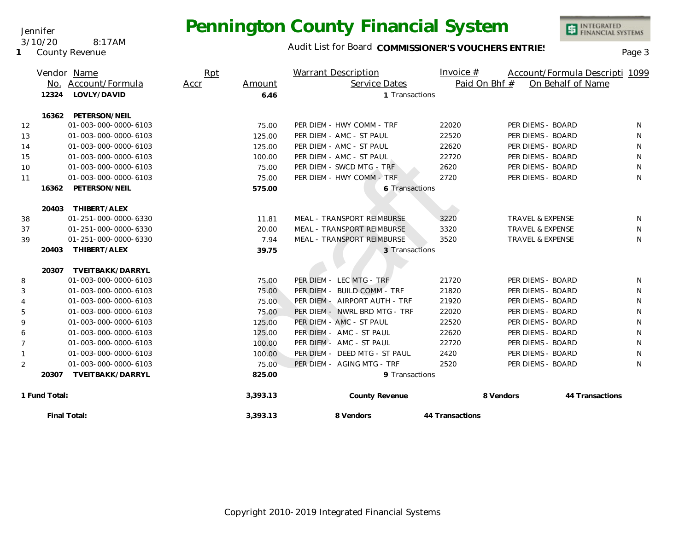Audit List for Board COMMISSIONER'S VOUCHERS ENTRIES<br>Page 3

INTEGRATED<br>FINANCIAL SYSTEMS

|                |                      | Vendor Name<br>No. Account/Formula | Rpt<br>Accr | Amount         | Warrant Description<br>Service Dates | Invoice $#$<br>Paid On Bhf # |                             | Account/Formula Descripti 1099<br>On Behalf of Name |    |
|----------------|----------------------|------------------------------------|-------------|----------------|--------------------------------------|------------------------------|-----------------------------|-----------------------------------------------------|----|
|                | 12324<br>LOVLY/DAVID |                                    |             | 6.46           | 1 Transactions                       |                              |                             |                                                     |    |
|                | 16362                | PETERSON/NEIL                      |             |                |                                      |                              |                             |                                                     |    |
| 12             |                      | 01-003-000-0000-6103               |             | 75.00          | PER DIEM - HWY COMM - TRF            | 22020                        | PER DIEMS - BOARD           |                                                     | N  |
| 13             |                      | 01-003-000-0000-6103               |             | 125.00         | PER DIEM - AMC - ST PAUL             | 22520                        | PER DIEMS - BOARD           |                                                     | N  |
| 14             |                      | 01-003-000-0000-6103               |             | 125.00         | PER DIEM - AMC - ST PAUL             | 22620                        | PER DIEMS - BOARD           |                                                     | N  |
| 15             |                      | 01-003-000-0000-6103               |             | 100.00         | PER DIEM - AMC - ST PAUL             | 22720                        | PER DIEMS - BOARD           |                                                     | N  |
| 10             |                      | 01-003-000-0000-6103               |             | 75.00          | PER DIEM - SWCD MTG - TRF            | 2620                         | PER DIEMS - BOARD           |                                                     | N  |
| 11             |                      | 01-003-000-0000-6103               |             | 75.00          | PER DIEM - HWY COMM - TRF            | 2720                         | PER DIEMS - BOARD           |                                                     | N  |
|                | 16362                | PETERSON/NEIL                      |             | 575.00         | 6 Transactions                       |                              |                             |                                                     |    |
|                | 20403                | THIBERT/ALEX                       |             |                |                                      |                              |                             |                                                     |    |
| 38             |                      | 01-251-000-0000-6330               |             | 11.81          | MEAL - TRANSPORT REIMBURSE           | 3220                         | <b>TRAVEL &amp; EXPENSE</b> |                                                     | N. |
| 37             |                      | 01-251-000-0000-6330               |             | 20.00          | MEAL - TRANSPORT REIMBURSE           | 3320                         | <b>TRAVEL &amp; EXPENSE</b> |                                                     | N  |
| 39             |                      | 01-251-000-0000-6330               |             | 7.94           | MEAL - TRANSPORT REIMBURSE           | 3520                         | TRAVEL & EXPENSE            |                                                     | N  |
|                | 20403                | THIBERT/ALEX                       |             | 39.75          | 3 Transactions                       |                              |                             |                                                     |    |
|                | 20307                | TVEITBAKK/DARRYL                   |             |                |                                      |                              |                             |                                                     |    |
| 8              |                      | 01-003-000-0000-6103               |             | 75.00          | PER DIEM - LEC MTG - TRF             | 21720                        | PER DIEMS - BOARD           |                                                     | N  |
| 3              |                      | 01-003-000-0000-6103               |             | 75.00          | PER DIEM - BUILD COMM - TRF          | 21820                        | PER DIEMS - BOARD           |                                                     | N  |
| 4              |                      | 01-003-000-0000-6103               |             | 75.00          | PER DIEM - AIRPORT AUTH - TRF        | 21920                        | PER DIEMS - BOARD           |                                                     | N. |
| 5              |                      | 01-003-000-0000-6103               |             | 75.00          | PER DIEM - NWRL BRD MTG - TRF        | 22020                        | PER DIEMS - BOARD           |                                                     | N  |
| 9              |                      | 01-003-000-0000-6103               |             | 125.00         | PER DIEM - AMC - ST PAUL             | 22520                        | PER DIEMS - BOARD           |                                                     | N  |
| 6              |                      | 01-003-000-0000-6103               |             | 125.00         | PER DIEM - AMC - ST PAUL             | 22620                        | PER DIEMS - BOARD           |                                                     | N  |
| $\overline{7}$ |                      | 01-003-000-0000-6103               |             | 100.00         | PER DIEM - AMC - ST PAUL             | 22720                        | PER DIEMS - BOARD           |                                                     | N  |
| $\mathbf{1}$   |                      | 01-003-000-0000-6103               |             | 100.00         | PER DIEM - DEED MTG - ST PAUL        | 2420                         | PER DIEMS - BOARD           |                                                     | N  |
| 2              |                      | 01-003-000-0000-6103               |             | 75.00          | PER DIEM - AGING MTG - TRF           | 2520                         | PER DIEMS - BOARD           |                                                     | N  |
|                | 20307                | TVEITBAKK/DARRYL                   |             | 825.00         | 9 Transactions                       |                              |                             |                                                     |    |
| 1 Fund Total:  |                      |                                    | 3,393.13    | County Revenue |                                      | 8 Vendors                    | 44 Transactions             |                                                     |    |
| Final Total:   |                      |                                    | 3,393.13    | 8 Vendors      | 44 Transactions                      |                              |                             |                                                     |    |

Jennifer 3/10/20 8:17AM

**1** County Revenue